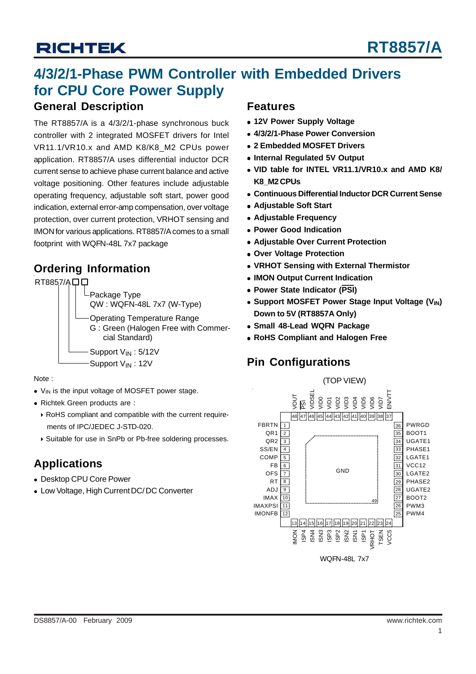### **4/3/2/1-Phase PWM Controller with Embedded Drivers for CPU Core Power Supply**

#### **General Description**

The RT8857/A is a 4/3/2/1-phase synchronous buck controller with 2 integrated MOSFET drivers for Intel VR11.1/VR10.x and AMD K8/K8\_M2 CPUs power application. RT8857/A uses differential inductor DCR current sense to achieve phase current balance and active voltage positioning. Other features include adjustable operating frequency, adjustable soft start, power good indication, external error-amp compensation, over voltage protection, over current protection, VRHOT sensing and IMON for various applications. RT8857/A comes to a small footprint with WQFN-48L 7x7 package

### **Ordering Information**

RT8857/ADD

Package Type QW : WQFN-48L 7x7 (W-Type)

Operating Temperature Range G : Green (Halogen Free with Commer cial Standard)

Support V<sub>IN</sub>: 5/12V Support V<sub>IN</sub>: 12V

Note :

- V<sub>IN</sub> is the input voltage of MOSFET power stage.
- Richtek Green products are :
	- RoHS compliant and compatible with the current require ments of IPC/JEDEC J-STD-020.
	- ▶ Suitable for use in SnPb or Pb-free soldering processes.

### **Applications**

- Desktop CPU Core Power
- Low Voltage, High Current DC/ DC Converter

#### **Features**

- **12V Power Supply Voltage**
- **4/3/2/1-Phase Power Conversion**
- **2 Embedded MOSFET Drivers**
- **Internal Regulated 5V Output**
- **VID table for INTEL VR11.1/VR10.x and AMD K8/ K8\_M2 CPUs**
- **Continuous Differential Inductor DCR Current Sense**
- **Adjustable Soft Start**
- **Adjustable Frequency**
- **Power Good Indication**
- **Adjustable Over Current Protection**
- **Over Voltage Protection**
- **VRHOT Sensing with External Thermistor**
- **IMON Output Current Indication**
- **Power State Indicator (PSI)**
- **Support MOSFET Power Stage Input Voltage (V<sub>IN</sub>) Down to 5V (RT8857A Only)**
- **Small 48-Lead WQFN Package**
- **RoHS Compliant and Halogen Free**

### **Pin Configurations**

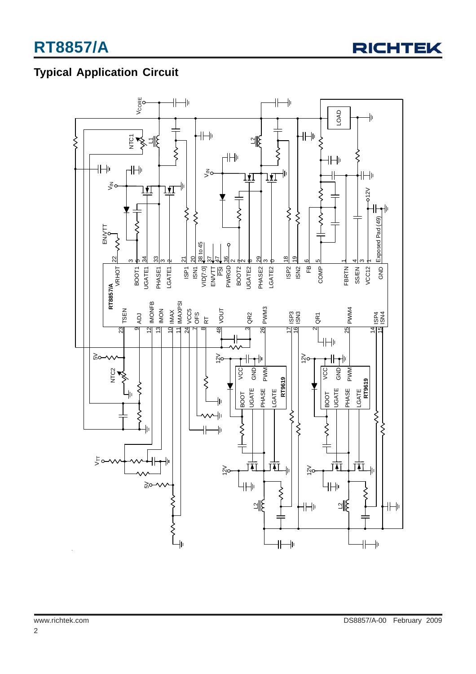

### **Typical Application Circuit**

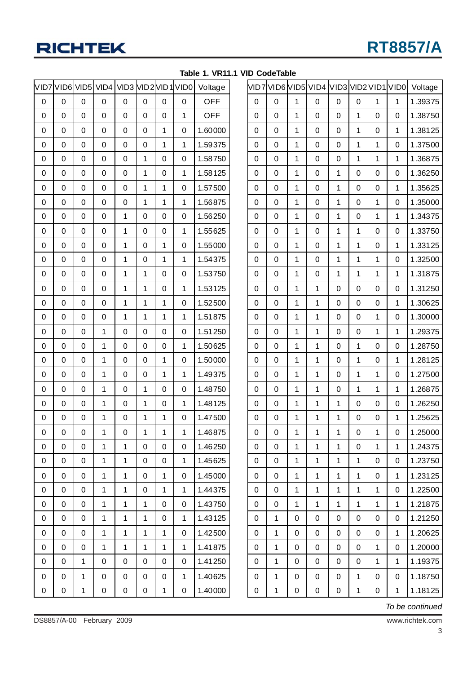|   | VID7 VID6 |   | VID5 VID4 |   |   |   | VID3 VID2 VID1 VID0 | Voltage    |
|---|-----------|---|-----------|---|---|---|---------------------|------------|
| 0 | 0         | 0 | 0         | 0 | 0 | 0 | 0                   | <b>OFF</b> |
| 0 | 0         | 0 | 0         | 0 | 0 | 0 | 1                   | <b>OFF</b> |
| 0 | 0         | 0 | 0         | 0 | 0 | 1 | 0                   | 1.60000    |
| 0 | 0         | 0 | 0         | 0 | 0 | 1 | 1                   | 1.59375    |
| 0 | 0         | 0 | 0         | 0 | 1 | 0 | 0                   | 1.58750    |
| 0 | 0         | 0 | 0         | 0 | 1 | 0 | 1                   | 1.58125    |
| 0 | 0         | 0 | 0         | 0 | 1 | 1 | 0                   | 1.57500    |
| 0 | 0         | 0 | 0         | 0 | 1 | 1 | 1                   | 1.56875    |
| 0 | 0         | 0 | 0         | 1 | 0 | 0 | 0                   | 1.56250    |
| 0 | 0         | 0 | 0         | 1 | 0 | 0 | 1                   | 1.55625    |
| 0 | 0         | 0 | 0         | 1 | 0 | 1 | 0                   | 1.55000    |
| 0 | 0         | 0 | 0         | 1 | 0 | 1 | 1                   | 1.54375    |
| 0 | 0         | 0 | 0         | 1 | 1 | 0 | 0                   | 1.53750    |
| 0 | 0         | 0 | 0         | 1 | 1 | 0 | 1                   | 1.53125    |
| 0 | 0         | 0 | 0         | 1 | 1 | 1 | 0                   | 1.52500    |
| 0 | 0         | 0 | 0         | 1 | 1 | 1 | 1                   | 1.51875    |
| 0 | 0         | 0 | 1         | 0 | 0 | 0 | 0                   | 1.51250    |
| 0 | 0         | 0 | 1         | 0 | 0 | 0 | 1                   | 1.50625    |
| 0 | 0         | 0 | 1         | 0 | 0 | 1 | 0                   | 1.50000    |
| 0 | 0         | 0 | 1         | 0 | 0 | 1 | 1                   | 1.49375    |
| 0 | 0         | 0 | 1         | 0 | 1 | 0 | 0                   | 1.48750    |
| 0 | 0         | 0 | 1         | 0 | 1 | 0 | 1                   | 1.48125    |
| 0 | 0         | 0 | 1         | 0 | 1 | 1 | 0                   | 1.47500    |
| 0 | 0         | 0 | 1         | 0 | 1 | 1 | 1                   | 1.46875    |
| 0 | 0         | 0 | 1         | 1 | 0 | 0 | 0                   | 1.46250    |
| 0 | 0         | 0 | 1         | 1 | 0 | 0 | 1                   | 1.45625    |
| 0 | 0         | 0 | 1         | 1 | 0 | 1 | 0                   | 1.45000    |
| 0 | 0         | 0 | 1         | 1 | 0 | 1 | 1                   | 1.44375    |
| 0 | 0         | 0 | 1         | 1 | 1 | 0 | 0                   | 1.43750    |
| 0 | 0         | 0 | 1         | 1 | 1 | 0 | 1                   | 1.43125    |
| 0 | 0         | 0 | 1         | 1 | 1 | 1 | 0                   | 1.42500    |
| 0 | 0         | 0 | 1         | 1 | 1 | 1 | 1                   | 1.41875    |
| 0 | 0         | 1 | 0         | 0 | 0 | 0 | 0                   | 1.41250    |
| 0 | 0         | 1 | 0         | 0 | 0 | 0 | 1                   | 1.40625    |
| 0 | 0         | 1 | 0         | 0 | 0 | 1 | 0                   | 1.40000    |

|  |  | Table 1. VR11.1 VID CodeTable |
|--|--|-------------------------------|
|  |  |                               |

|   |   |   | VID7 VID6 VID5 VID4 VID3 VID2 VID1 VID0 |   |   |             |             | Voltage |
|---|---|---|-----------------------------------------|---|---|-------------|-------------|---------|
| 0 | 0 | 1 | 0                                       | 0 | 0 | 1           | 1           | 1.39375 |
| 0 | 0 | 1 | 0                                       | 0 | 1 | 0           | 0           | 1.38750 |
| 0 | 0 | 1 | 0                                       | 0 | 1 | 0           | 1           | 1.38125 |
| 0 | 0 | 1 | 0                                       | 0 | 1 | 1           | 0           | 1.37500 |
| 0 | 0 | 1 | 0                                       | 0 | 1 | 1           | 1           | 1.36875 |
| 0 | 0 | 1 | 0                                       | 1 | 0 | 0           | 0           | 1.36250 |
| 0 | 0 | 1 | 0                                       | 1 | 0 | 0           | 1           | 1.35625 |
| 0 | 0 | 1 | 0                                       | 1 | 0 | 1           | 0           | 1.35000 |
| 0 | 0 | 1 | 0                                       | 1 | 0 | 1           | 1           | 1.34375 |
| 0 | 0 | 1 | 0                                       | 1 | 1 | 0           | 0           | 1.33750 |
| 0 | 0 | 1 | 0                                       | 1 | 1 | 0           | 1           | 1.33125 |
| 0 | 0 | 1 | 0                                       | 1 | 1 | 1           | 0           | 1.32500 |
| 0 | 0 | 1 | 0                                       | 1 | 1 | 1           | 1           | 1.31875 |
| 0 | 0 | 1 | 1                                       | 0 | 0 | 0           | 0           | 1.31250 |
| 0 | 0 | 1 | 1                                       | 0 | 0 | 0           | 1           | 1.30625 |
| 0 | 0 | 1 | 1                                       | 0 | 0 | 1           | 0           | 1.30000 |
| 0 | 0 | 1 | 1                                       | 0 | 0 | 1           | 1           | 1.29375 |
| 0 | 0 | 1 | 1                                       | 0 | 1 | 0           | 0           | 1.28750 |
| 0 | 0 | 1 | 1                                       | 0 | 1 | 0           | 1           | 1.28125 |
| 0 | 0 | 1 | 1                                       | 0 | 1 | 1           | 0           | 1.27500 |
| 0 | 0 | 1 | 1                                       | 0 | 1 | 1           | 1           | 1.26875 |
| 0 | 0 | 1 | 1                                       | 1 | 0 | 0           | 0           | 1.26250 |
| 0 | 0 | 1 | 1                                       | 1 | 0 | 0           | 1           | 1.25625 |
| 0 | 0 | 1 | 1                                       | 1 | 0 | $\mathbf 1$ | 0           | 1.25000 |
| 0 | 0 | 1 | 1                                       | 1 | 0 | 1           | 1           | 1.24375 |
| 0 | 0 | 1 | 1                                       | 1 | 1 | 0           | 0           | 1.23750 |
| 0 | 0 | 1 | 1                                       | 1 | 1 | 0           | 1           | 1.23125 |
| 0 | 0 | 1 | 1                                       | 1 | 1 | 1           | 0           | 1.22500 |
| 0 | 0 | 1 | 1                                       | 1 | 1 | 1           | 1           | 1.21875 |
| 0 | 1 | 0 | 0                                       | 0 | 0 | 0           | 0           | 1.21250 |
| 0 | 1 | 0 | 0                                       | 0 | 0 | 0           | 1           | 1.20625 |
| 0 | 1 | 0 | 0                                       | 0 | 0 | 1           | 0           | 1.20000 |
| 0 | 1 | 0 | 0                                       | 0 | 0 | 1           | $\mathbf 1$ | 1.19375 |
| 0 | 1 | 0 | 0                                       | 0 | 1 | 0           | 0           | 1.18750 |
| 0 | 1 | 0 | 0                                       | 0 | 1 | 0           | $\mathbf 1$ | 1.18125 |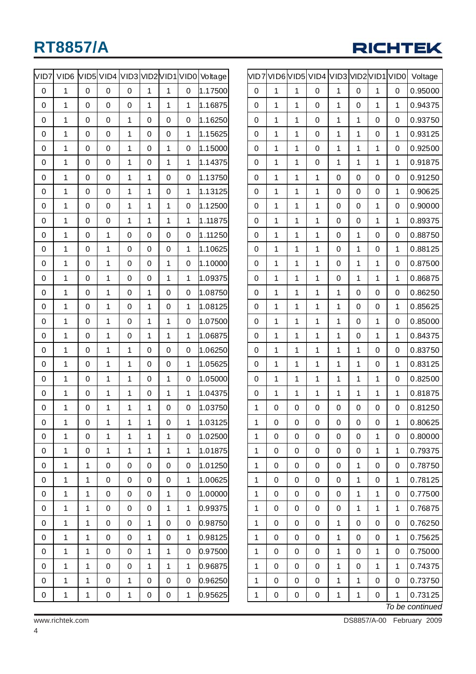

| VID7 | VID <sub>6</sub> |              |             |                |             |             |                | VID5VID4 VID3 VID2 VID1 VID0 Voltage | VI |
|------|------------------|--------------|-------------|----------------|-------------|-------------|----------------|--------------------------------------|----|
| 0    | $\overline{1}$   | $\mathbf 0$  | 0           | $\mathbf 0$    | 1           | 1           | 0              | 1.17500                              |    |
| 0    | $\mathbf 1$      | 0            | 0           | $\mathbf 0$    | 1           | 1           | $\mathbf{1}$   | 1.16875                              |    |
| 0    | 1                | 0            | 0           | 1              | $\mathbf 0$ | 0           | 0              | 1.16250                              |    |
| 0    | $\mathbf 1$      | 0            | 0           | $\overline{1}$ | $\mathbf 0$ | 0           | $\mathbf{1}$   | 1.15625                              |    |
| 0    | $\mathbf 1$      | 0            | 0           | 1              | $\mathbf 0$ | 1           | 0              | 1.15000                              |    |
| 0    | 1                | 0            | 0           | 1              | $\mathbf 0$ | 1           | 1              | 1.14375                              |    |
| 0    | $\overline{1}$   | 0            | 0           | 1              | 1           | 0           | 0              | 1.13750                              |    |
| 0    | $\overline{1}$   | 0            | 0           | $\overline{1}$ | 1           | 0           | $\overline{1}$ | 1.13125                              |    |
| 0    | $\mathbf 1$      | 0            | 0           | 1              | 1           | 1           | 0              | 1.12500                              |    |
| 0    | 1                | 0            | 0           | 1              | 1           | 1           | 1              | 1.11875                              |    |
| 0    | $\mathbf 1$      | $\mathbf 0$  | 1           | $\mathbf 0$    | $\mathbf 0$ | 0           | 0              | 1.11250                              |    |
| 0    | $\mathbf 1$      | 0            | 1           | 0              | $\mathbf 0$ | 0           | 1              | 1.10625                              |    |
| 0    | 1                | 0            | 1           | 0              | $\mathbf 0$ | 1           | 0              | 1.10000                              |    |
| 0    | $\overline{1}$   | 0            | 1           | $\mathbf 0$    | $\mathbf 0$ | 1           | 1              | 1.09375                              |    |
| 0    | $\mathbf 1$      | 0            | 1           | 0              | 1           | 0           | 0              | 1.08750                              |    |
| 0    | 1                | 0            | 1           | 0              | 1           | 0           | 1              | 1.08125                              |    |
| 0    | 1                | 0            | 1           | 0              | 1           | 1           | 0              | 1.07500                              |    |
| 0    | $\overline{1}$   | 0            | 1           | 0              | 1           | $\mathbf 1$ | 1              | 1.06875                              |    |
| 0    | $\mathbf 1$      | 0            | 1           | 1              | $\mathbf 0$ | 0           | 0              | 1.06250                              |    |
| 0    | 1                | 0            | 1           | 1              | $\mathbf 0$ | 0           | 1              | 1.05625                              |    |
| 0    | $\mathbf 1$      | $\mathbf 0$  | 1           | $\overline{1}$ | $\mathbf 0$ | 1           | 0              | 1.05000                              |    |
| 0    | $\mathbf 1$      | 0            | 1           | $\overline{1}$ | $\mathbf 0$ | 1           | $\overline{1}$ | 1.04375                              |    |
| 0    | 1                | 0            | 1           | 1              | 1           | 0           | 0              | 1.03750                              |    |
| 0    | 1                | 0            | 1           | 1              | $\mathbf 1$ | 0           | $\mathbf{1}$   | 1.03125                              |    |
| 0    | $\mathbf 1$      | $\mathbf 0$  | $\mathbf 1$ | $\mathbf{1}$   | 1           | $\mathbf 1$ | 0              | 1.02500                              |    |
| 0    | $\mathbf 1$      | $\pmb{0}$    | $\mathbf 1$ | $\mathbf{1}$   | $\mathbf 1$ | 1           | $\mathbf{1}$   | 1.01875                              |    |
| 0    | $\overline{1}$   | $\mathbf{1}$ | 0           | 0              | 0           | 0           | 0              | 1.01250                              |    |
| 0    | $\mathbf 1$      | 1            | $\mathbf 0$ | $\pmb{0}$      | 0           | 0           | $\mathbf{1}$   | 1.00625                              |    |
| 0    | $\mathbf 1$      | 1            | $\mathbf 0$ | $\pmb{0}$      | 0           | 1           | $\mathbf 0$    | 1.00000                              |    |
| 0    | $\mathbf 1$      | 1            | 0           | $\pmb{0}$      | 0           | 1           | $\mathbf{1}$   | 0.99375                              |    |
| 0    | $\mathbf 1$      | 1            | 0           | 0              | $\mathbf 1$ | 0           | 0              | 0.98750                              |    |
| 0    | $\mathbf 1$      | 1            | $\mathbf 0$ | $\pmb{0}$      | $\mathbf 1$ | 0           | $\mathbf{1}$   | 0.98125                              |    |
| 0    | $\mathbf 1$      | 1            | 0           | $\pmb{0}$      | $\mathbf 1$ | $\mathbf 1$ | 0              | 0.97500                              |    |
| 0    | $\mathbf 1$      | 1            | 0           | 0              | $\mathbf 1$ | 1           | $\mathbf{1}$   | 0.96875                              |    |
| 0    | $\mathbf{1}$     | $\mathbf{1}$ | $\mathsf 0$ | $\mathbf 1$    | 0           | 0           | 0              | 0.96250                              |    |
| 0    | $\mathbf 1$      | 1            | 0           | $\mathbf 1$    | 0           | 0           | $\mathbf 1$    | 0.95625                              |    |
|      |                  |              |             |                |             |             |                |                                      |    |

|   |   |   | VID7 VID6 VID5 VID4 VID3 VID2 VID1 VID0 |   |   |   |          | Voltage         |
|---|---|---|-----------------------------------------|---|---|---|----------|-----------------|
| 0 | 1 | 1 | 0                                       | 1 | 0 | 1 | $\Omega$ | 0.95000         |
| 0 | 1 | 1 | 0                                       | 1 | 0 | 1 | 1        | 0.94375         |
| 0 | 1 | 1 | 0                                       | 1 | 1 | 0 | 0        | 0.93750         |
| 0 | 1 | 1 | 0                                       | 1 | 1 | 0 | 1        | 0.93125         |
| 0 | 1 | 1 | 0                                       | 1 | 1 | 1 | 0        | 0.92500         |
| 0 | 1 | 1 | 0                                       | 1 | 1 | 1 | 1        | 0.91875         |
| 0 | 1 | 1 | 1                                       | 0 | 0 | 0 | 0        | 0.91250         |
| 0 | 1 | 1 | 1                                       | 0 | 0 | 0 | 1        | 0.90625         |
| 0 | 1 | 1 | 1                                       | 0 | 0 | 1 | 0        | 0.90000         |
| 0 | 1 | 1 | 1                                       | 0 | 0 | 1 | 1        | 0.89375         |
| 0 | 1 | 1 | 1                                       | 0 | 1 | 0 | 0        | 0.88750         |
| 0 | 1 | 1 | 1                                       | 0 | 1 | 0 | 1        | 0.88125         |
| 0 | 1 | 1 | 1                                       | 0 | 1 | 1 | 0        | 0.87500         |
| 0 | 1 | 1 | 1                                       | 0 | 1 | 1 | 1        | 0.86875         |
| 0 | 1 | 1 | 1                                       | 1 | 0 | 0 | 0        | 0.86250         |
| 0 | 1 | 1 | 1                                       | 1 | 0 | 0 | 1        | 0.85625         |
| 0 | 1 | 1 | 1                                       | 1 | 0 | 1 | 0        | 0.85000         |
| 0 | 1 | 1 | 1                                       | 1 | 0 | 1 | 1        | 0.84375         |
| 0 | 1 | 1 | 1                                       | 1 | 1 | 0 | 0        | 0.83750         |
| 0 | 1 | 1 | 1                                       | 1 | 1 | 0 | 1        | 0.83125         |
| 0 | 1 | 1 | 1                                       | 1 | 1 | 1 | 0        | 0.82500         |
| 0 | 1 | 1 | 1                                       | 1 | 1 | 1 | 1        | 0.81875         |
| 1 | 0 | 0 | 0                                       | 0 | 0 | 0 | 0        | 0.81250         |
| 1 | 0 | 0 | 0                                       | 0 | 0 | 0 | 1        | 0.80625         |
| 1 | 0 | 0 | 0                                       | 0 | 0 | 1 | 0        | 0.80000         |
| 1 | 0 | 0 | 0                                       | 0 | 0 | 1 | 1        | 0.79375         |
| 1 | 0 | 0 | 0                                       | 0 | 1 | 0 | 0        | 0.78750         |
| 1 | 0 | 0 | 0                                       | 0 | 1 | 0 | 1        | 0.78125         |
| 1 | 0 | 0 | 0                                       | 0 | 1 | 1 | 0        | 0.77500         |
| 1 | 0 | 0 | 0                                       | 0 | 1 | 1 | 1        | 0.76875         |
| 1 | 0 | 0 | 0                                       | 1 | 0 | 0 | 0        | 0.76250         |
| 1 | 0 | 0 | 0                                       | 1 | 0 | 0 | 1        | 0.75625         |
| 1 | 0 | 0 | 0                                       | 1 | 0 | 1 | 0        | 0.75000         |
| 1 | 0 | 0 | 0                                       | 1 | 0 | 1 | 1        | 0.74375         |
| 1 | 0 | 0 | 0                                       | 1 | 1 | 0 | 0        | 0.73750         |
| 1 | 0 | 0 | 0                                       | 1 | 1 | 0 | 1        | 0.73125         |
|   |   |   |                                         |   |   |   |          | To be continued |

www.richtek.com DS8857/A-00 February 2009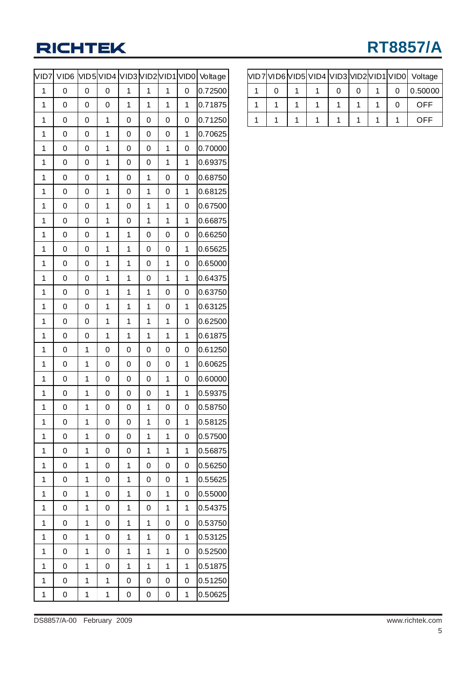# **RT8857/A**

| VID7           | VID <sub>6</sub> |   | VID5 VID4 VID3 VID2 VID1 VID0 |   |                |                |             | Voltage |
|----------------|------------------|---|-------------------------------|---|----------------|----------------|-------------|---------|
| 1              | 0                | 0 | 0                             | 1 | 1              | 1              | 0           | 0.72500 |
| 1              | 0                | 0 | 0                             | 1 | 1              | 1              | 1           | 0.71875 |
| 1              | 0                | 0 | 1                             | 0 | 0              | 0              | 0           | 0.71250 |
| 1              | 0                | 0 | 1                             | 0 | 0              | 0              | 1           | 0.70625 |
| 1              | 0                | 0 | 1                             | 0 | 0              | 1              | 0           | 0.70000 |
| 1              | 0                | 0 | 1                             | 0 | 0              | 1              | 1           | 0.69375 |
| 1              | 0                | 0 | 1                             | 0 | 1              | 0              | 0           | 0.68750 |
| 1              | 0                | 0 | 1                             | 0 | 1              | 0              | 1           | 0.68125 |
| 1              | 0                | 0 | 1                             | 0 | 1              | 1              | 0           | 0.67500 |
| 1              | 0                | 0 | 1                             | 0 | 1              | 1              | 1           | 0.66875 |
| 1              | 0                | 0 | 1                             | 1 | 0              | 0              | 0           | 0.66250 |
| 1              | 0                | 0 | 1                             | 1 | 0              | 0              | 1           | 0.65625 |
| 1              | 0                | 0 | 1                             | 1 | 0              | 1              | 0           | 0.65000 |
| 1              | 0                | 0 | 1                             | 1 | 0              | 1              | 1           | 0.64375 |
| 1              | 0                | 0 | 1                             | 1 | 1              | $\overline{0}$ | 0           | 0.63750 |
| 1              | 0                | 0 | 1                             | 1 | 1              | 0              | 1           | 0.63125 |
| 1              | 0                | 0 | 1                             | 1 | 1              | 1              | 0           | 0.62500 |
| 1              | 0                | 0 | 1                             | 1 | 1              | 1              | 1           | 0.61875 |
| 1              | 0                | 1 | 0                             | 0 | 0              | $\overline{0}$ | 0           | 0.61250 |
| 1              | 0                | 1 | 0                             | 0 | 0              | 0              | 1           | 0.60625 |
| 1              | 0                | 1 | 0                             | 0 | 0              | 1              | 0           | 0.60000 |
| 1              | 0                | 1 | 0                             | 0 | 0              | 1              | 1           | 0.59375 |
| 1              | 0                | 1 | 0                             | 0 | 1              | 0              | 0           | 0.58750 |
| $\overline{1}$ | 0                | 1 | 0                             | 0 | 1              | $\overline{0}$ | 1           | 0.58125 |
| 1              | 0                | 1 | 0                             | 0 | 1              | 1              | 0           | 0.57500 |
| 1              | 0                | 1 | 0                             | 0 | 1              | $\mathbf 1$    | $\mathbf 1$ | 0.56875 |
| 1              | 0                | 1 | 0                             | 1 | 0              | 0              | 0           | 0.56250 |
| 1              | 0                | 1 | 0                             | 1 | 0              | 0              | $\mathbf 1$ | 0.55625 |
| 1              | 0                | 1 | 0                             | 1 | 0              | $\mathbf 1$    | 0           | 0.55000 |
| 1              | 0                | 1 | 0                             | 1 | 0              | $\mathbf 1$    | 1           | 0.54375 |
| $\overline{1}$ | 0                | 1 | 0                             | 1 | 1              | 0              | 0           | 0.53750 |
| 1              | 0                | 1 | 0                             | 1 | $\overline{1}$ | 0              | $\mathbf 1$ | 0.53125 |
| 1              | 0                | 1 | 0                             | 1 | 1              | 1              | 0           | 0.52500 |
| 1              | 0                | 1 | 0                             | 1 | 1              | 1              | 1           | 0.51875 |
| $\overline{1}$ | 0                | 1 | 1                             | 0 | 0              | 0              | 0           | 0.51250 |
| 1              | 0                | 1 | 1                             | 0 | 0              | 0              | 1           | 0.50625 |

|  |  |  |  | VID7VID6VID5VID4VID3VID2VID1VID0 Voltage |
|--|--|--|--|------------------------------------------|
|  |  |  |  | 0.50000                                  |
|  |  |  |  | OFF                                      |
|  |  |  |  | OFF                                      |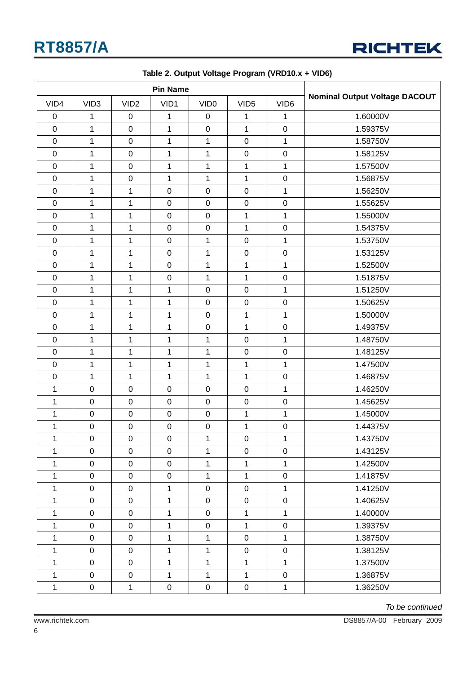

| VID4             | VID <sub>3</sub> | VID <sub>2</sub> | VID1         | VID <sub>0</sub> | VID <sub>5</sub> | VID <sub>6</sub> | <b>Nominal Output Voltage DACOUT</b> |
|------------------|------------------|------------------|--------------|------------------|------------------|------------------|--------------------------------------|
| $\boldsymbol{0}$ | 1                | $\pmb{0}$        | 1            | $\boldsymbol{0}$ | 1                | 1                | 1.60000V                             |
| $\mathsf 0$      | 1                | $\mathbf 0$      | $\mathbf{1}$ | $\pmb{0}$        | $\mathbf{1}$     | $\pmb{0}$        | 1.59375V                             |
| $\mathbf 0$      | 1                | $\mathbf 0$      | $\mathbf 1$  | 1                | $\mathbf 0$      | 1                | 1.58750V                             |
| $\mathbf 0$      | 1                | $\boldsymbol{0}$ | $\mathbf{1}$ | $\mathbf{1}$     | $\pmb{0}$        | $\pmb{0}$        | 1.58125V                             |
| $\mathbf 0$      | 1                | $\boldsymbol{0}$ | $\mathbf 1$  | 1                | $\mathbf{1}$     | $\mathbf 1$      | 1.57500V                             |
| $\mathbf 0$      | 1                | $\boldsymbol{0}$ | $\mathbf 1$  | 1                | $\mathbf{1}$     | 0                | 1.56875V                             |
| $\mathbf 0$      | 1                | $\mathbf{1}$     | $\mathsf 0$  | $\pmb{0}$        | $\mathbf 0$      | $\mathbf 1$      | 1.56250V                             |
| $\mathbf 0$      | $\overline{1}$   | $\mathbf{1}$     | $\mathsf 0$  | $\pmb{0}$        | $\mathbf 0$      | $\mathbf 0$      | 1.55625V                             |
| $\mathbf 0$      | 1                | $\mathbf{1}$     | $\pmb{0}$    | $\pmb{0}$        | $\mathbf{1}$     | $\mathbf 1$      | 1.55000V                             |
| $\mathbf 0$      | 1                | $\mathbf{1}$     | $\mathsf 0$  | $\pmb{0}$        | $\mathbf{1}$     | $\mathsf 0$      | 1.54375V                             |
| $\mathbf 0$      | 1                | $\mathbf{1}$     | $\pmb{0}$    | $\mathbf{1}$     | $\boldsymbol{0}$ | 1                | 1.53750V                             |
| $\mathbf 0$      | 1                | $\mathbf{1}$     | $\pmb{0}$    | 1                | $\mathsf 0$      | $\pmb{0}$        | 1.53125V                             |
| $\mathbf 0$      | 1                | $\mathbf{1}$     | $\mathsf 0$  | 1                | $\mathbf{1}$     | $\mathbf 1$      | 1.52500V                             |
| $\mathbf 0$      | $\overline{1}$   | $\mathbf{1}$     | $\mathsf 0$  | $\mathbf{1}$     | $\mathbf{1}$     | $\mathbf 0$      | 1.51875V                             |
| $\mathbf 0$      | 1                | $\mathbf{1}$     | $\mathbf 1$  | $\pmb{0}$        | $\mathbf 0$      | $\mathbf{1}$     | 1.51250V                             |
| $\mathbf 0$      | 1                | $\mathbf{1}$     | $\mathbf 1$  | $\pmb{0}$        | $\pmb{0}$        | $\pmb{0}$        | 1.50625V                             |
| $\mathbf 0$      | 1                | $\mathbf{1}$     | 1            | $\pmb{0}$        | $\mathbf{1}$     | $\mathbf{1}$     | 1.50000V                             |
| $\boldsymbol{0}$ | 1                | $\mathbf{1}$     | 1            | $\pmb{0}$        | 1                | $\pmb{0}$        | 1.49375V                             |
| $\mathsf 0$      | $\overline{1}$   | $\mathbf 1$      | $\mathbf{1}$ | $\mathbf{1}$     | $\mathbf 0$      | $\mathbf 1$      | 1.48750V                             |
| $\mathbf 0$      | 1                | $\mathbf{1}$     | $\mathbf{1}$ | $\mathbf{1}$     | $\mathbf 0$      | $\pmb{0}$        | 1.48125V                             |
| $\mathbf 0$      | 1                | $\mathbf{1}$     | $\mathbf 1$  | $\mathbf{1}$     | $\mathbf 1$      | $\mathbf 1$      | 1.47500V                             |
| $\boldsymbol{0}$ | 1                | $\mathbf 1$      | 1            | 1                | $\mathbf{1}$     | $\pmb{0}$        | 1.46875V                             |
| 1                | $\boldsymbol{0}$ | $\boldsymbol{0}$ | $\pmb{0}$    | $\pmb{0}$        | $\mathsf 0$      | 1                | 1.46250V                             |
| 1                | $\boldsymbol{0}$ | $\mathbf 0$      | $\mathsf 0$  | $\pmb{0}$        | $\mathsf 0$      | $\mathsf 0$      | 1.45625V                             |
| $\mathbf 1$      | $\pmb{0}$        | $\mathbf 0$      | $\mathbf 0$  | $\pmb{0}$        | $\mathbf{1}$     | $\mathbf{1}$     | 1.45000V                             |
| $\mathbf 1$      | $\boldsymbol{0}$ | $\boldsymbol{0}$ | $\pmb{0}$    | $\pmb{0}$        | $\mathbf{1}$     | $\pmb{0}$        | 1.44375V                             |
| $\mathbf 1$      | $\pmb{0}$        | $\mathbf 0$      | $\pmb{0}$    | $\mathbf{1}$     | $\boldsymbol{0}$ | $\mathbf{1}$     | 1.43750V                             |
| 1                | 0                | 0                | 0            | $\mathbf 1$      | 0                | $\pmb{0}$        | 1.43125V                             |
| 1                | $\mathbf 0$      | $\mathbf 0$      | $\mathbf 0$  | $\mathbf{1}$     | $\mathbf{1}$     | $\mathbf{1}$     | 1.42500V                             |
| 1                | $\mathbf 0$      | $\mathbf 0$      | $\pmb{0}$    | $\mathbf{1}$     | $\mathbf{1}$     | $\pmb{0}$        | 1.41875V                             |
| $\mathbf{1}$     | $\pmb{0}$        | $\pmb{0}$        | $\mathbf{1}$ | $\mathbf 0$      | $\mathbf 0$      | $\mathbf 1$      | 1.41250V                             |
| $\mathbf{1}$     | $\mathbf 0$      | $\mathsf 0$      | $\mathbf{1}$ | $\mathbf 0$      | $\mathbf 0$      | $\pmb{0}$        | 1.40625V                             |
| 1                | $\pmb{0}$        | $\pmb{0}$        | $\mathbf{1}$ | $\mathbf 0$      | $\mathbf{1}$     | $\mathbf{1}$     | 1.40000V                             |
| 1                | $\mathbf 0$      | $\mathbf 0$      | $\mathbf 1$  | $\mathbf 0$      | $\mathbf 1$      | $\pmb{0}$        | 1.39375V                             |
| 1                | $\mathbf 0$      | $\mathbf 0$      | 1            | $\mathbf{1}$     | $\mathbf 0$      | 1                | 1.38750V                             |
| 1                | $\mathbf 0$      | $\mathbf 0$      | 1            | $\mathbf{1}$     | $\pmb{0}$        | $\mathbf 0$      | 1.38125V                             |
| 1                | $\mathbf 0$      | 0                | 1            | $\mathbf{1}$     | $\mathbf{1}$     | 1                | 1.37500V                             |
| $\mathbf{1}$     | $\mathbf 0$      | $\mathbf 0$      | $\mathbf{1}$ | $\mathbf{1}$     | $\mathbf{1}$     | $\pmb{0}$        | 1.36875V                             |
| $\mathbf{1}$     | $\mathbf 0$      | $\mathbf{1}$     | $\mathbf 0$  | $\mathsf 0$      | $\mathbf 0$      | $\mathbf{1}$     | 1.36250V                             |

**Table 2. Output Voltage Program (VRD10.x + VID6)**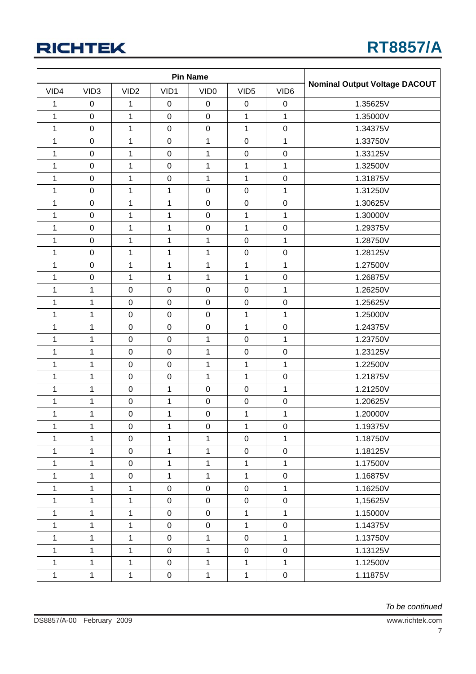| VID4         | VID <sub>3</sub> | VID <sub>2</sub> | VID1             | VID <sub>0</sub> | VID <sub>5</sub>    | VID <sub>6</sub> | <b>Nominal Output Voltage DACOUT</b> |
|--------------|------------------|------------------|------------------|------------------|---------------------|------------------|--------------------------------------|
| 1            | $\mathbf 0$      | 1                | $\mathbf 0$      | $\boldsymbol{0}$ | $\pmb{0}$           | $\pmb{0}$        | 1.35625V                             |
| $\mathbf 1$  | $\mathbf 0$      | $\mathbf{1}$     | $\pmb{0}$        | $\mathsf 0$      | 1                   | $\mathbf 1$      | 1.35000V                             |
| $\mathbf{1}$ | $\boldsymbol{0}$ | $\mathbf{1}$     | $\pmb{0}$        | $\mathsf 0$      | $\mathbf{1}$        | $\pmb{0}$        | 1.34375V                             |
| 1            | $\boldsymbol{0}$ | 1                | $\pmb{0}$        | $\mathbf{1}$     | $\mathbf 0$         | $\mathbf{1}$     | 1.33750V                             |
| 1            | $\mathbf 0$      | $\mathbf{1}$     | $\mathbf 0$      | 1                | $\mathbf 0$         | $\pmb{0}$        | 1.33125V                             |
| 1            | $\pmb{0}$        | 1                | $\boldsymbol{0}$ | 1                | 1                   | $\mathbf 1$      | 1.32500V                             |
| 1            | $\boldsymbol{0}$ | $\mathbf{1}$     | $\boldsymbol{0}$ | 1                | $\mathbf{1}$        | $\pmb{0}$        | 1.31875V                             |
| 1            | $\boldsymbol{0}$ | $\mathbf{1}$     | $\mathbf 1$      | $\pmb{0}$        | $\pmb{0}$           | $\mathbf{1}$     | 1.31250V                             |
| $\mathbf{1}$ | $\mathbf 0$      | $\mathbf 1$      | $\mathbf 1$      | $\pmb{0}$        | $\pmb{0}$           | $\pmb{0}$        | 1.30625V                             |
| 1            | $\boldsymbol{0}$ | 1                | $\mathbf 1$      | $\mathbf 0$      | $\mathbf{1}$        | $\mathbf{1}$     | 1.30000V                             |
| 1            | $\boldsymbol{0}$ | 1                | $\mathbf 1$      | $\mathsf 0$      | 1                   | $\pmb{0}$        | 1.29375V                             |
| 1            | $\boldsymbol{0}$ | 1                | 1                | 1                | $\pmb{0}$           | $\mathbf{1}$     | 1.28750V                             |
| 1            | $\boldsymbol{0}$ | 1                | 1                | 1                | $\pmb{0}$           | $\pmb{0}$        | 1.28125V                             |
| 1            | $\mathbf 0$      | 1                | $\mathbf 1$      | $\mathbf 1$      | 1                   | $\mathbf 1$      | 1.27500V                             |
| $\mathbf 1$  | $\boldsymbol{0}$ | $\mathbf 1$      | $\mathbf{1}$     | $\mathbf 1$      | $\mathbf{1}$        | $\mathbf 0$      | 1.26875V                             |
| 1            | $\mathbf{1}$     | $\pmb{0}$        | $\pmb{0}$        | $\mathbf 0$      | $\pmb{0}$           | $\mathbf 1$      | 1.26250V                             |
| 1            | $\mathbf{1}$     | $\mathbf 0$      | $\mathbf 0$      | $\mathbf 0$      | $\pmb{0}$           | $\pmb{0}$        | 1.25625V                             |
| 1            | $\mathbf{1}$     | $\pmb{0}$        | $\pmb{0}$        | $\pmb{0}$        | 1                   | $\mathbf{1}$     | 1.25000V                             |
| 1            | $\mathbf 1$      | $\pmb{0}$        | $\pmb{0}$        | $\mathsf 0$      | $\mathbf{1}$        | $\pmb{0}$        | 1.24375V                             |
| 1            | $\mathbf{1}$     | $\pmb{0}$        | $\pmb{0}$        | 1                | $\pmb{0}$           | $\mathbf{1}$     | 1.23750V                             |
| $\mathbf 1$  | $\mathbf{1}$     | $\pmb{0}$        | $\pmb{0}$        | $\mathbf 1$      | $\pmb{0}$           | $\mathbf 0$      | 1.23125V                             |
| 1            | $\mathbf 1$      | $\pmb{0}$        | $\pmb{0}$        | 1                | 1                   | $\mathbf{1}$     | 1.22500V                             |
| 1            | $\mathbf{1}$     | $\pmb{0}$        | $\pmb{0}$        | $\mathbf{1}$     | $\mathbf{1}$        | $\pmb{0}$        | 1.21875V                             |
| 1            | $\mathbf 1$      | $\boldsymbol{0}$ | 1                | $\mathbf 0$      | $\pmb{0}$           | $\mathbf{1}$     | 1.21250V                             |
| 1            | $\mathbf 1$      | $\pmb{0}$        | $\mathbf 1$      | $\mathbf 0$      | $\pmb{0}$           | $\pmb{0}$        | 1.20625V                             |
| $\mathbf 1$  | $\mathbf 1$      | $\pmb{0}$        | $\mathbf 1$      | $\mathbf 0$      | 1                   | $\mathbf 1$      | 1.20000V                             |
| $\mathbf 1$  | $\mathbf{1}$     | $\pmb{0}$        | $\mathbf 1$      | $\mathsf 0$      | $\mathbf{1}$        | $\mathbf 0$      | 1.19375V                             |
| 1            | $\mathbf 1$      | $\pmb{0}$        | $\mathbf{1}$     | $\mathbf{1}$     | $\mathbf 0$         | $\mathbf{1}$     | 1.18750V                             |
| $\mathbf{1}$ | $\mathbf{1}$     | $\mathbf 0$      | $\mathbf{1}$     | $\mathbf{1}$     | $\pmb{0}$           | $\pmb{0}$        | 1.18125V                             |
| 1            | $\mathbf 1$      | $\pmb{0}$        | 1                | 1                | 1                   | $\mathbf{1}$     | 1.17500V                             |
| 1            | $\mathbf{1}$     | $\pmb{0}$        | 1                | 1                | $\mathbf{1}$        | $\pmb{0}$        | 1.16875V                             |
| 1            | $\mathbf{1}$     | $\mathbf{1}$     | $\mathsf 0$      | $\pmb{0}$        | $\mathsf{O}\xspace$ | $\mathbf{1}$     | 1.16250V                             |
| 1            | $\mathbf{1}$     | $\mathbf{1}$     | $\mathsf 0$      | $\boldsymbol{0}$ | $\pmb{0}$           | $\mathbf 0$      | 1,15625V                             |
| 1            | $\mathbf 1$      | 1                | $\mathsf 0$      | $\boldsymbol{0}$ | $\mathbf{1}$        | $\mathbf{1}$     | 1.15000V                             |
| 1            | $\mathbf{1}$     | $\mathbf{1}$     | $\mathbf 0$      | $\boldsymbol{0}$ | $\mathbf{1}$        | $\pmb{0}$        | 1.14375V                             |
| 1            | $\mathbf{1}$     | 1                | $\mathbf 0$      | $\mathbf{1}$     | $\mathsf 0$         | $\mathbf{1}$     | 1.13750V                             |
| 1            | $\mathbf{1}$     | 1                | $\pmb{0}$        | 1                | $\mathsf 0$         | $\pmb{0}$        | 1.13125V                             |
| 1            | $\mathbf{1}$     | $\mathbf{1}$     | $\mathsf 0$      | $\mathbf{1}$     | $\mathbf{1}$        | $\mathbf{1}$     | 1.12500V                             |
| $\mathbf{1}$ | $\mathbf{1}$     | $\mathbf{1}$     | $\pmb{0}$        | $\mathbf{1}$     | $\mathbf{1}$        | $\mathbf 0$      | 1.11875V                             |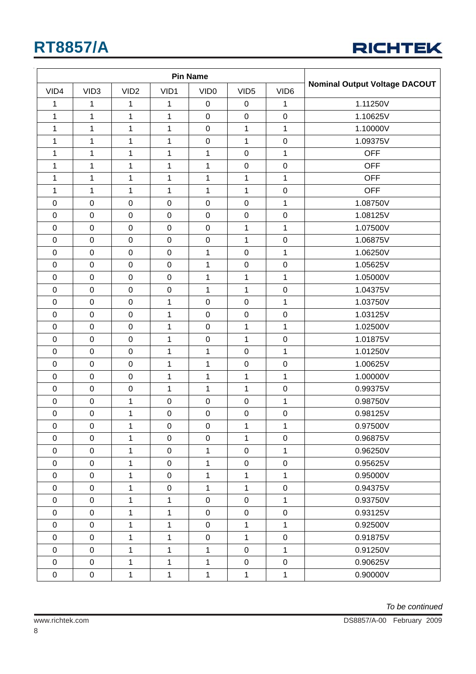

| VID4             | VID <sub>3</sub> | VID <sub>2</sub> | VID1             | VID <sub>0</sub>    | VID <sub>5</sub> | VID <sub>6</sub> | <b>Nominal Output Voltage DACOUT</b> |
|------------------|------------------|------------------|------------------|---------------------|------------------|------------------|--------------------------------------|
| 1                | 1                | 1                | 1                | $\pmb{0}$           | $\pmb{0}$        | 1                | 1.11250V                             |
| $\mathbf 1$      | $\mathbf 1$      | $\mathbf{1}$     | $\mathbf 1$      | $\pmb{0}$           | $\mathsf 0$      | $\pmb{0}$        | 1.10625V                             |
| 1                | $\mathbf 1$      | $\mathbf{1}$     | $\mathbf{1}$     | $\mathbf 0$         | 1                | $\mathbf{1}$     | 1.10000V                             |
| 1                | $\mathbf 1$      | $\mathbf 1$      | 1                | $\mathsf 0$         | $\mathbf{1}$     | $\mathbf 0$      | 1.09375V                             |
| 1                | 1                | 1                | $\mathbf 1$      | $\mathbf 1$         | $\mathsf 0$      | $\mathbf{1}$     | <b>OFF</b>                           |
| 1                | 1                | $\mathbf 1$      | 1                | $\mathbf{1}$        | $\pmb{0}$        | $\pmb{0}$        | <b>OFF</b>                           |
| $\mathbf 1$      | 1                | $\mathbf{1}$     | $\mathbf 1$      | $\mathbf 1$         | $\mathbf{1}$     | $\mathbf{1}$     | <b>OFF</b>                           |
| 1                | $\mathbf{1}$     | $\mathbf{1}$     | $\mathbf 1$      | $\mathbf{1}$        | $\mathbf 1$      | $\pmb{0}$        | <b>OFF</b>                           |
| $\mathbf 0$      | $\boldsymbol{0}$ | $\mathsf 0$      | $\pmb{0}$        | $\mathbf 0$         | $\mathsf 0$      | $\mathbf{1}$     | 1.08750V                             |
| $\boldsymbol{0}$ | $\pmb{0}$        | $\mathbf 0$      | $\boldsymbol{0}$ | $\pmb{0}$           | $\boldsymbol{0}$ | $\pmb{0}$        | 1.08125V                             |
| $\mathbf 0$      | $\mathbf 0$      | $\boldsymbol{0}$ | $\pmb{0}$        | $\pmb{0}$           | 1                | 1                | 1.07500V                             |
| $\mathbf 0$      | $\pmb{0}$        | $\pmb{0}$        | $\pmb{0}$        | $\pmb{0}$           | $\mathbf{1}$     | $\pmb{0}$        | 1.06875V                             |
| $\pmb{0}$        | $\boldsymbol{0}$ | $\boldsymbol{0}$ | $\pmb{0}$        | 1                   | $\mathsf 0$      | 1                | 1.06250V                             |
| $\mathbf 0$      | $\mathbf 0$      | $\pmb{0}$        | $\pmb{0}$        | $\mathbf 1$         | $\pmb{0}$        | $\pmb{0}$        | 1.05625V                             |
| $\mathbf 0$      | $\mathbf 0$      | $\mathbf 0$      | $\mathbf 0$      | $\mathbf{1}$        | $\mathbf{1}$     | $\mathbf 1$      | 1.05000V                             |
| $\pmb{0}$        | $\pmb{0}$        | $\pmb{0}$        | $\pmb{0}$        | $\mathbf{1}$        | 1                | $\pmb{0}$        | 1.04375V                             |
| $\mathbf 0$      | $\mathbf 0$      | $\mathbf 0$      | $\mathbf{1}$     | $\mathbf 0$         | $\mathbf 0$      | $\mathbf{1}$     | 1.03750V                             |
| $\boldsymbol{0}$ | $\mathbf 0$      | $\boldsymbol{0}$ | 1                | $\pmb{0}$           | $\pmb{0}$        | $\pmb{0}$        | 1.03125V                             |
| $\mathbf 0$      | $\pmb{0}$        | $\pmb{0}$        | 1                | $\pmb{0}$           | $\mathbf{1}$     | $\mathbf{1}$     | 1.02500V                             |
| $\mathbf 0$      | $\boldsymbol{0}$ | $\pmb{0}$        | $\mathbf 1$      | $\mathbf 0$         | $\mathbf 1$      | $\mathbf 0$      | 1.01875V                             |
| $\mathbf 0$      | $\mathbf 0$      | $\mathsf 0$      | $\mathbf{1}$     | $\mathbf{1}$        | $\mathsf 0$      | $\mathbf{1}$     | 1.01250V                             |
| $\boldsymbol{0}$ | $\pmb{0}$        | $\pmb{0}$        | 1                | $\mathbf 1$         | $\mathsf 0$      | $\pmb{0}$        | 1.00625V                             |
| $\mathbf 0$      | $\boldsymbol{0}$ | $\pmb{0}$        | $\mathbf{1}$     | $\mathbf{1}$        | $\mathbf{1}$     | $\mathbf{1}$     | 1.00000V                             |
| $\mathbf 0$      | $\mathbf 0$      | $\boldsymbol{0}$ | $\mathbf 1$      | $\mathbf 1$         | $\mathbf{1}$     | $\mathbf 0$      | 0.99375V                             |
| $\boldsymbol{0}$ | $\boldsymbol{0}$ | 1                | $\boldsymbol{0}$ | $\pmb{0}$           | $\mathsf 0$      | 1                | 0.98750V                             |
| $\mathbf 0$      | $\boldsymbol{0}$ | $\mathbf 1$      | $\boldsymbol{0}$ | $\pmb{0}$           | $\mathbf 0$      | $\pmb{0}$        | 0.98125V                             |
| $\mathbf 0$      | $\pmb{0}$        | 1                | $\pmb{0}$        | $\pmb{0}$           | $\mathbf 1$      | $\mathbf{1}$     | 0.97500V                             |
| $\mathbf 0$      | $\pmb{0}$        | $\mathbf{1}$     | $\mathbf 0$      | $\pmb{0}$           | $\mathbf{1}$     | $\pmb{0}$        | 0.96875V                             |
| $\pmb{0}$        | $\pmb{0}$        | $\mathbf{1}$     | $\mathbf 0$      | $\mathbf{1}$        | $\mathbf 0$      | $\mathbf{1}$     | 0.96250V                             |
| $\boldsymbol{0}$ | $\pmb{0}$        | $\mathbf 1$      | $\mathbf 0$      | 1                   | 0                | $\mathbf 0$      | 0.95625V                             |
| $\pmb{0}$        | $\pmb{0}$        | $\mathbf{1}$     | $\pmb{0}$        | $\mathbf{1}$        | $\mathbf{1}$     | $\mathbf{1}$     | 0.95000V                             |
| $\pmb{0}$        | $\pmb{0}$        | $\mathbf{1}$     | $\pmb{0}$        | $\mathbf 1$         | $\mathbf{1}$     | $\pmb{0}$        | 0.94375V                             |
| $\boldsymbol{0}$ | $\pmb{0}$        | $\mathbf{1}$     | $\mathbf 1$      | $\mathsf{O}\xspace$ | $\mathsf 0$      | $\mathbf 1$      | 0.93750V                             |
| $\boldsymbol{0}$ | $\pmb{0}$        | $\mathbf{1}$     | $\mathbf 1$      | $\mathsf{O}\xspace$ | $\boldsymbol{0}$ | $\pmb{0}$        | 0.93125V                             |
| $\boldsymbol{0}$ | $\pmb{0}$        | $\mathbf{1}$     | $\mathbf 1$      | $\mathsf{O}\xspace$ | $\mathbf{1}$     | $\mathbf 1$      | 0.92500V                             |
| $\pmb{0}$        | $\pmb{0}$        | $\mathbf{1}$     | $\mathbf{1}$     | $\pmb{0}$           | $\mathbf{1}$     | $\pmb{0}$        | 0.91875V                             |
| $\pmb{0}$        | $\pmb{0}$        | $\mathbf{1}$     | 1                | $\mathbf{1}$        | $\boldsymbol{0}$ | $\mathbf{1}$     | 0.91250V                             |
| $\pmb{0}$        | $\pmb{0}$        | $\mathbf{1}$     | $\mathbf{1}$     | $\mathbf{1}$        | $\pmb{0}$        | $\mathbf 0$      | 0.90625V                             |
| $\pmb{0}$        | $\pmb{0}$        | $\mathbf{1}$     | $\mathbf{1}$     | $\mathbf{1}$        | $\mathbf{1}$     | $\mathbf{1}$     | 0.90000V                             |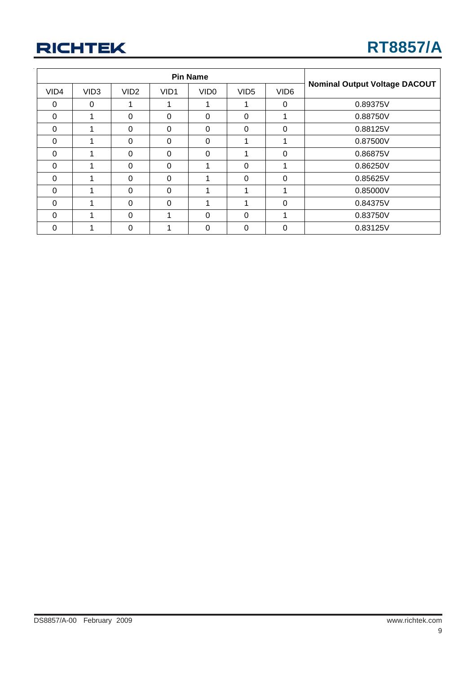| VID4     | VID <sub>3</sub> | VID <sub>2</sub> | VID1     | VID <sub>0</sub> | VID <sub>5</sub> | VID <sub>6</sub> | <b>Nominal Output Voltage DACOUT</b> |
|----------|------------------|------------------|----------|------------------|------------------|------------------|--------------------------------------|
| 0        | $\Omega$         |                  |          |                  |                  | $\Omega$         | 0.89375V                             |
| 0        |                  | $\Omega$         | $\Omega$ | $\Omega$         | $\Omega$         |                  | 0.88750V                             |
| $\Omega$ |                  | $\Omega$         | $\Omega$ | $\Omega$         | $\Omega$         | 0                | 0.88125V                             |
| $\Omega$ |                  | $\Omega$         | $\Omega$ | $\Omega$         |                  |                  | 0.87500V                             |
| $\Omega$ |                  | $\Omega$         | $\Omega$ | $\Omega$         |                  | 0                | 0.86875V                             |
| $\Omega$ |                  | $\Omega$         | $\Omega$ |                  | $\Omega$         |                  | 0.86250V                             |
| $\Omega$ |                  | $\Omega$         | $\Omega$ |                  | $\Omega$         | 0                | 0.85625V                             |
| $\Omega$ |                  | $\Omega$         | $\Omega$ |                  |                  |                  | 0.85000V                             |
| $\Omega$ |                  | $\Omega$         | $\Omega$ |                  |                  | 0                | 0.84375V                             |
| $\Omega$ |                  | $\Omega$         | 1        | $\Omega$         | $\Omega$         | 1                | 0.83750V                             |
| 0        |                  | $\Omega$         |          | 0                | 0                | 0                | 0.83125V                             |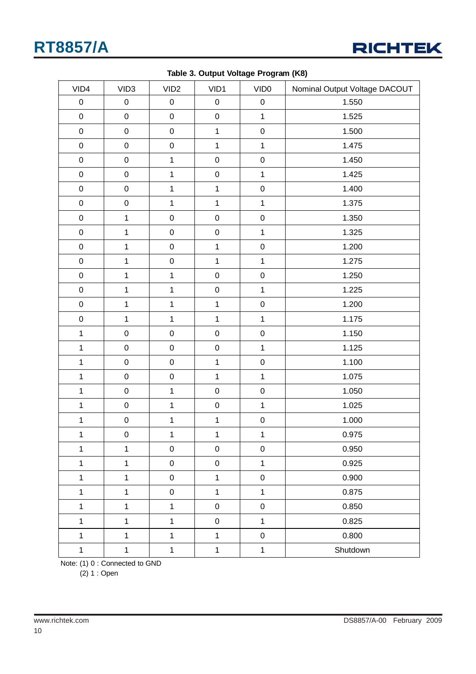

| VID4           | VID <sub>3</sub> | VID <sub>2</sub> | VID1         | VID <sub>0</sub> | Nominal Output Voltage DACOUT |
|----------------|------------------|------------------|--------------|------------------|-------------------------------|
| $\mathbf 0$    | $\pmb{0}$        | $\pmb{0}$        | $\pmb{0}$    | $\mathbf 0$      | 1.550                         |
| $\mathbf 0$    | $\mathbf 0$      | $\pmb{0}$        | $\mathbf 0$  | $\mathbf{1}$     | 1.525                         |
| $\pmb{0}$      | $\pmb{0}$        | $\pmb{0}$        | $\mathbf{1}$ | $\pmb{0}$        | 1.500                         |
| $\mathbf 0$    | $\mathbf 0$      | $\mathsf 0$      | $\mathbf{1}$ | $\mathbf{1}$     | 1.475                         |
| $\mathbf 0$    | $\pmb{0}$        | $\mathbf{1}$     | $\pmb{0}$    | $\mathbf 0$      | 1.450                         |
| $\pmb{0}$      | $\pmb{0}$        | $\mathbf{1}$     | $\pmb{0}$    | $\mathbf 1$      | 1.425                         |
| $\pmb{0}$      | $\pmb{0}$        | $\mathbf{1}$     | $\mathbf 1$  | $\mathbf 0$      | 1.400                         |
| $\mathbf 0$    | $\mathbf 0$      | $\mathbf{1}$     | $\mathbf{1}$ | $\mathbf{1}$     | 1.375                         |
| $\mathbf 0$    | $\mathbf{1}$     | 0                | $\pmb{0}$    | $\mathbf 0$      | 1.350                         |
| $\pmb{0}$      | $\mathbf 1$      | $\pmb{0}$        | $\mathsf 0$  | $\mathbf{1}$     | 1.325                         |
| $\mathbf 0$    | $\mathbf 1$      | $\mathsf 0$      | $\mathbf{1}$ | $\mathbf 0$      | 1.200                         |
| $\mathbf 0$    | $\mathbf 1$      | $\pmb{0}$        | $\mathbf{1}$ | $\mathbf{1}$     | 1.275                         |
| $\mathbf 0$    | $\mathbf 1$      | $\mathbf{1}$     | $\mathbf 0$  | $\mathbf 0$      | 1.250                         |
| $\mathbf 0$    | $\mathbf 1$      | $\mathbf{1}$     | $\mathsf 0$  | $\mathbf{1}$     | 1.225                         |
| $\mathbf 0$    | $\mathbf 1$      | $\mathbf{1}$     | $\mathbf{1}$ | $\mathbf 0$      | 1.200                         |
| $\mathbf 0$    | $\mathbf{1}$     | $\mathbf{1}$     | $\mathbf{1}$ | $\mathbf{1}$     | 1.175                         |
| $\mathbf{1}$   | $\pmb{0}$        | 0                | $\pmb{0}$    | $\pmb{0}$        | 1.150                         |
| $\mathbf{1}$   | $\pmb{0}$        | $\pmb{0}$        | $\pmb{0}$    | $\mathbf{1}$     | 1.125                         |
| $\mathbf{1}$   | $\pmb{0}$        | $\pmb{0}$        | $\mathbf{1}$ | $\mathbf 0$      | 1.100                         |
| $\mathbf{1}$   | $\pmb{0}$        | $\pmb{0}$        | $\mathbf{1}$ | $\mathbf{1}$     | 1.075                         |
| $\mathbf{1}$   | $\pmb{0}$        | $\mathbf{1}$     | $\mathbf 0$  | $\mathbf 0$      | 1.050                         |
| $\mathbf{1}$   | $\pmb{0}$        | $\mathbf{1}$     | $\pmb{0}$    | $\mathbf{1}$     | 1.025                         |
| $\mathbf{1}$   | $\mathbf 0$      | $\mathbf 1$      | $\mathbf 1$  | $\pmb{0}$        | 1.000                         |
| $\mathbf{1}$   | $\mathsf 0$      | $\mathbf{1}$     | $\mathbf{1}$ | $\mathbf{1}$     | 0.975                         |
| $\mathbf 1$    | $\mathbf 1$      | $\boldsymbol{0}$ | $\pmb{0}$    | $\mathbf 0$      | 0.950                         |
| $\mathbf 1$    | $\mathbf 1$      | $\pmb{0}$        | $\mathbf 0$  | $\mathbf{1}$     | 0.925                         |
| $\mathbf{1}$   | $\mathbf 1$      | $\pmb{0}$        | $\mathbf{1}$ | $\mathbf 0$      | 0.900                         |
| $\mathbf{1}$   | $\mathbf{1}$     | $\pmb{0}$        | $\mathbf{1}$ | $\mathbf{1}$     | 0.875                         |
| $\mathbf{1}$   | $\mathbf 1$      | $\mathbf{1}$     | $\pmb{0}$    | $\mathbf 0$      | 0.850                         |
| $\mathbf{1}$   | $\mathbf 1$      | $\mathbf{1}$     | $\pmb{0}$    | $\mathbf{1}$     | 0.825                         |
| $\mathbf{1}$   | $\mathbf 1$      | $\mathbf{1}$     | $\mathbf{1}$ | $\pmb{0}$        | 0.800                         |
| $\overline{1}$ | $\mathbf 1$      | $\mathbf{1}$     | $\mathbf{1}$ | $\mathbf{1}$     | Shutdown                      |

**Table 3. Output Voltage Program (K8)**

Note: (1) 0 : Connected to GND

(2) 1 : Open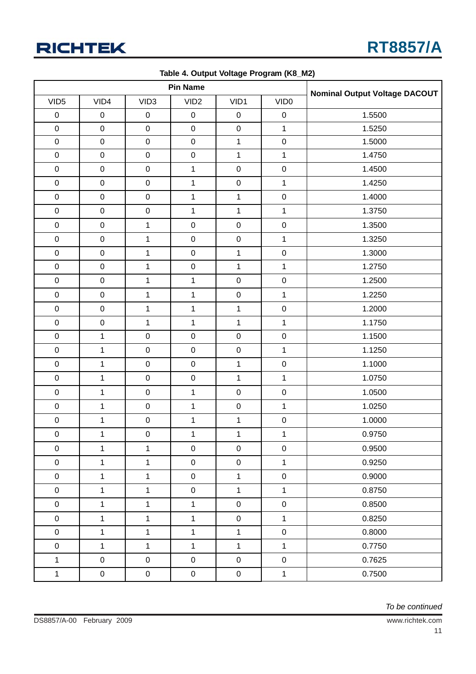

|                  |              |                     | <b>Pin Name</b>     |              |                     |                                      |  |  |
|------------------|--------------|---------------------|---------------------|--------------|---------------------|--------------------------------------|--|--|
| VID <sub>5</sub> | VID4         | VID <sub>3</sub>    | VID <sub>2</sub>    | VID1         | VID <sub>0</sub>    | <b>Nominal Output Voltage DACOUT</b> |  |  |
| $\pmb{0}$        | $\mathbf 0$  | $\pmb{0}$           | $\mathbf 0$         | $\pmb{0}$    | $\pmb{0}$           | 1.5500                               |  |  |
| $\mathbf 0$      | $\mathbf 0$  | $\mathbf 0$         | $\mathbf 0$         | $\mathbf 0$  | $\mathbf{1}$        | 1.5250                               |  |  |
| $\pmb{0}$        | $\mathbf 0$  | $\pmb{0}$           | $\mathbf 0$         | $\mathbf{1}$ | $\mathbf 0$         | 1.5000                               |  |  |
| $\pmb{0}$        | $\mathbf 0$  | $\mathsf{O}\xspace$ | $\mathbf 0$         | 1            | $\mathbf{1}$        | 1.4750                               |  |  |
| $\pmb{0}$        | $\mathbf 0$  | $\mathbf 0$         | $\mathbf{1}$        | $\mathbf 0$  | $\pmb{0}$           | 1.4500                               |  |  |
| $\pmb{0}$        | $\pmb{0}$    | $\mathbf 0$         | $\mathbf{1}$        | $\mathbf 0$  | $\mathbf{1}$        | 1.4250                               |  |  |
| $\mathbf 0$      | $\pmb{0}$    | $\pmb{0}$           | $\mathbf{1}$        | $\mathbf{1}$ | $\mathbf 0$         | 1.4000                               |  |  |
| $\mathbf 0$      | $\mathbf 0$  | $\mathbf 0$         | $\mathbf{1}$        | $\mathbf{1}$ | $\mathbf{1}$        | 1.3750                               |  |  |
| $\boldsymbol{0}$ | $\pmb{0}$    | $\mathbf{1}$        | $\pmb{0}$           | $\pmb{0}$    | $\pmb{0}$           | 1.3500                               |  |  |
| $\mathbf 0$      | $\mathbf 0$  | $\mathbf{1}$        | $\mathbf 0$         | $\mathbf 0$  | $\mathbf{1}$        | 1.3250                               |  |  |
| $\mathbf 0$      | $\mathbf 0$  | $\mathbf{1}$        | $\mathbf 0$         | $\mathbf{1}$ | $\pmb{0}$           | 1.3000                               |  |  |
| $\mathbf 0$      | $\mathbf 0$  | $\mathbf{1}$        | $\mathbf 0$         | $\mathbf{1}$ | $\mathbf{1}$        | 1.2750                               |  |  |
| $\pmb{0}$        | $\mathbf 0$  | $\mathbf{1}$        | $\mathbf{1}$        | $\mathbf 0$  | $\pmb{0}$           | 1.2500                               |  |  |
| $\pmb{0}$        | $\mathbf 0$  | $\mathbf{1}$        | $\mathbf{1}$        | $\pmb{0}$    | $\mathbf{1}$        | 1.2250                               |  |  |
| $\mathbf 0$      | $\mathbf 0$  | $\mathbf{1}$        | $\mathbf{1}$        | $\mathbf{1}$ | $\pmb{0}$           | 1.2000                               |  |  |
| $\pmb{0}$        | $\mathbf 0$  | $\mathbf{1}$        | $\mathbf{1}$        | $\mathbf{1}$ | $\mathbf{1}$        | 1.1750                               |  |  |
| $\mathbf 0$      | $\mathbf{1}$ | $\pmb{0}$           | $\pmb{0}$           | $\pmb{0}$    | $\pmb{0}$           | 1.1500                               |  |  |
| $\pmb{0}$        | $\mathbf 1$  | $\mathbf 0$         | $\pmb{0}$           | $\pmb{0}$    | $\mathbf{1}$        | 1.1250                               |  |  |
| $\mathbf 0$      | $\mathbf{1}$ | $\mathbf 0$         | $\mathbf 0$         | $\mathbf{1}$ | $\pmb{0}$           | 1.1000                               |  |  |
| $\mathbf 0$      | $\mathbf 1$  | $\mathbf 0$         | $\pmb{0}$           | 1            | $\mathbf{1}$        | 1.0750                               |  |  |
| $\mathbf 0$      | $\mathbf{1}$ | $\mathbf 0$         | $\mathbf{1}$        | $\mathbf 0$  | $\pmb{0}$           | 1.0500                               |  |  |
| $\pmb{0}$        | $\mathbf 1$  | $\mathbf 0$         | $\mathbf{1}$        | $\mathbf 0$  | $\mathbf{1}$        | 1.0250                               |  |  |
| $\mathbf 0$      | $\mathbf 1$  | $\mathbf 0$         | $\mathbf 1$         | $\mathbf{1}$ | $\pmb{0}$           | 1.0000                               |  |  |
| $\mathbf 0$      | $\mathbf{1}$ | $\pmb{0}$           | $\mathbf{1}$        | $\mathbf 1$  | $\mathbf{1}$        | 0.9750                               |  |  |
| $\mathsf 0$      | $\mathbf{1}$ | $\mathbf{1}$        | $\mathbf 0$         | $\mathsf 0$  | $\pmb{0}$           | 0.9500                               |  |  |
| $\mathbf 0$      | $\mathbf{1}$ | $\mathbf{1}$        | $\mathbf 0$         | $\pmb{0}$    | $\mathbf 1$         | 0.9250                               |  |  |
| $\mathbf 0$      | $\mathbf{1}$ | $\mathbf{1}$        | $\mathsf 0$         | $\mathbf{1}$ | $\pmb{0}$           | 0.9000                               |  |  |
| $\mathbf 0$      | $\mathbf{1}$ | $\mathbf{1}$        | $\mathbf 0$         | $\mathbf{1}$ | $\mathbf{1}$        | 0.8750                               |  |  |
| $\mathbf 0$      | $\mathbf 1$  | $\mathbf{1}$        | $\mathbf{1}$        | $\pmb{0}$    | $\mathsf{O}\xspace$ | 0.8500                               |  |  |
| $\mathbf 0$      | $\mathbf{1}$ | $\mathbf{1}$        | $\mathbf{1}$        | $\pmb{0}$    | $\mathbf{1}$        | 0.8250                               |  |  |
| $\mathbf 0$      | $\mathbf{1}$ | $\mathbf{1}$        | $\mathbf{1}$        | $\mathbf{1}$ | $\pmb{0}$           | 0.8000                               |  |  |
| $\mathbf 0$      | $\mathbf{1}$ | $\mathbf{1}$        | $\mathbf{1}$        | $\mathbf{1}$ | $\mathbf{1}$        | 0.7750                               |  |  |
| $\mathbf{1}$     | $\mathbf 0$  | $\mathsf{O}\xspace$ | $\mathbf 0$         | $\pmb{0}$    | $\pmb{0}$           | 0.7625                               |  |  |
| $\mathbf{1}$     | $\pmb{0}$    | $\boldsymbol{0}$    | $\mathsf{O}\xspace$ | $\mathbf 0$  | $\mathbf 1$         | 0.7500                               |  |  |

**Table 4. Output Voltage Program (K8\_M2)**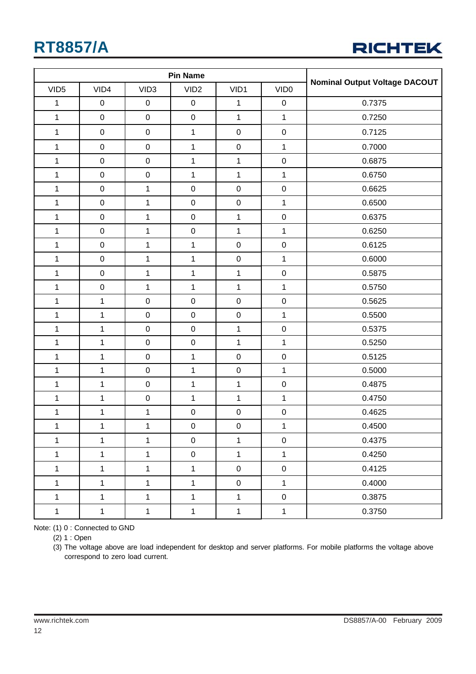

|                  |              |                     | <b>Pin Name</b>  |                     |                  |                                      |  |  |
|------------------|--------------|---------------------|------------------|---------------------|------------------|--------------------------------------|--|--|
| VID <sub>5</sub> | VID4         | VID <sub>3</sub>    | VID <sub>2</sub> | VID1                | VID <sub>0</sub> | <b>Nominal Output Voltage DACOUT</b> |  |  |
| 1                | $\pmb{0}$    | $\mathsf 0$         | $\mathsf 0$      | 1                   | $\mathsf 0$      | 0.7375                               |  |  |
| $\mathbf{1}$     | $\pmb{0}$    | $\mathsf{O}\xspace$ | $\mathsf 0$      | $\mathbf{1}$        | $\mathbf{1}$     | 0.7250                               |  |  |
| $\mathbf{1}$     | $\pmb{0}$    | $\mathbf 0$         | $\mathbf 1$      | $\pmb{0}$           | $\pmb{0}$        | 0.7125                               |  |  |
| $\mathbf{1}$     | $\mathbf 0$  | $\mathbf 0$         | $\mathbf 1$      | $\pmb{0}$           | $\mathbf 1$      | 0.7000                               |  |  |
| $\mathbf{1}$     | $\mathbf 0$  | $\mathbf 0$         | $\mathbf 1$      | $\mathbf{1}$        | $\pmb{0}$        | 0.6875                               |  |  |
| $\mathbf{1}$     | $\pmb{0}$    | $\mathbf 0$         | $\mathbf{1}$     | $\mathbf{1}$        | $\mathbf 1$      | 0.6750                               |  |  |
| $\mathbf{1}$     | $\mathbf 0$  | $\mathbf{1}$        | $\mathbf 0$      | $\mathbf 0$         | $\pmb{0}$        | 0.6625                               |  |  |
| $\mathbf 1$      | $\pmb{0}$    | $\mathbf{1}$        | $\mathbf 0$      | $\mathbf 0$         | $\mathbf{1}$     | 0.6500                               |  |  |
| $\mathbf{1}$     | $\mathbf 0$  | $\mathbf{1}$        | $\mathsf 0$      | $\mathbf{1}$        | $\pmb{0}$        | 0.6375                               |  |  |
| $\mathbf 1$      | $\mathbf 0$  | $\mathbf{1}$        | $\mathsf 0$      | $\mathbf{1}$        | $\mathbf 1$      | 0.6250                               |  |  |
| $\mathbf{1}$     | $\mathbf 0$  | $\mathbf{1}$        | $\mathbf 1$      | $\pmb{0}$           | $\pmb{0}$        | 0.6125                               |  |  |
| $\mathbf{1}$     | $\mathbf 0$  | $\mathbf{1}$        | $\mathbf{1}$     | $\pmb{0}$           | $\mathbf 1$      | 0.6000                               |  |  |
| $\mathbf{1}$     | $\mathbf 0$  | $\mathbf{1}$        | $\mathbf{1}$     | $\mathbf{1}$        | $\pmb{0}$        | 0.5875                               |  |  |
| $\mathbf{1}$     | $\mathbf 0$  | $\mathbf{1}$        | $\mathbf{1}$     | $\mathbf{1}$        | $\mathbf{1}$     | 0.5750                               |  |  |
| $\mathbf 1$      | $\mathbf{1}$ | $\mathbf 0$         | $\mathbf 0$      | $\pmb{0}$           | $\pmb{0}$        | 0.5625                               |  |  |
| $\mathbf 1$      | $\mathbf{1}$ | $\mathbf 0$         | $\mathsf 0$      | $\pmb{0}$           | $\mathbf 1$      | 0.5500                               |  |  |
| $\mathbf{1}$     | $\mathbf{1}$ | $\mathbf 0$         | $\mathbf 0$      | $\mathbf{1}$        | $\pmb{0}$        | 0.5375                               |  |  |
| $\mathbf{1}$     | $\mathbf{1}$ | $\pmb{0}$           | $\mathbf 0$      | $\mathbf{1}$        | $\mathbf{1}$     | 0.5250                               |  |  |
| $\mathbf 1$      | $\mathbf{1}$ | $\mathsf{O}\xspace$ | $\mathbf{1}$     | $\pmb{0}$           | $\pmb{0}$        | 0.5125                               |  |  |
| $\mathbf 1$      | $\mathbf{1}$ | $\mathbf 0$         | $\mathbf 1$      | $\pmb{0}$           | $\mathbf{1}$     | 0.5000                               |  |  |
| $\mathbf{1}$     | $\mathbf{1}$ | $\mathbf 0$         | $\mathbf{1}$     | $\mathbf{1}$        | $\pmb{0}$        | 0.4875                               |  |  |
| $\mathbf{1}$     | $\mathbf 1$  | $\mathbf 0$         | $\mathbf{1}$     | $\mathbf{1}$        | $\mathbf 1$      | 0.4750                               |  |  |
| $\mathbf 1$      | $\mathbf{1}$ | $\mathbf{1}$        | $\mathbf 0$      | $\mathbf 0$         | $\pmb{0}$        | 0.4625                               |  |  |
| $\mathbf 1$      | $\mathbf{1}$ | $\mathbf 1$         | $\mathsf 0$      | $\mathsf 0$         | $\mathbf{1}$     | 0.4500                               |  |  |
| $\mathbf{1}$     | $\mathbf{1}$ | $\mathbf{1}$        | $\mathsf 0$      | $\mathbf{1}$        | $\boldsymbol{0}$ | 0.4375                               |  |  |
| $\mathbf 1$      | $\mathbf{1}$ | $\mathbf{1}$        | $\boldsymbol{0}$ | $\mathbf{1}$        | $\mathbf 1$      | 0.4250                               |  |  |
| $\mathbf 1$      | $\mathbf{1}$ | $\mathbf{1}$        | $\mathbf{1}$     | $\boldsymbol{0}$    | $\mathbf 0$      | 0.4125                               |  |  |
| $\mathbf 1$      | $\mathbf{1}$ | $\mathbf{1}$        | $\mathbf{1}$     | $\mathsf{O}\xspace$ | $\mathbf 1$      | 0.4000                               |  |  |
| $\mathbf{1}$     | $\mathbf{1}$ | $\mathbf{1}$        | $\mathbf{1}$     | $\mathbf{1}$        | $\mathsf 0$      | 0.3875                               |  |  |
| $\mathbf 1$      | $\mathbf 1$  | $\mathbf 1$         | $\mathbf{1}$     | $\mathbf{1}$        | $\mathbf 1$      | 0.3750                               |  |  |

Note: (1) 0 : Connected to GND

(2) 1 : Open

(3) The voltage above are load independent for desktop and server platforms. For mobile platforms the voltage above correspond to zero load current.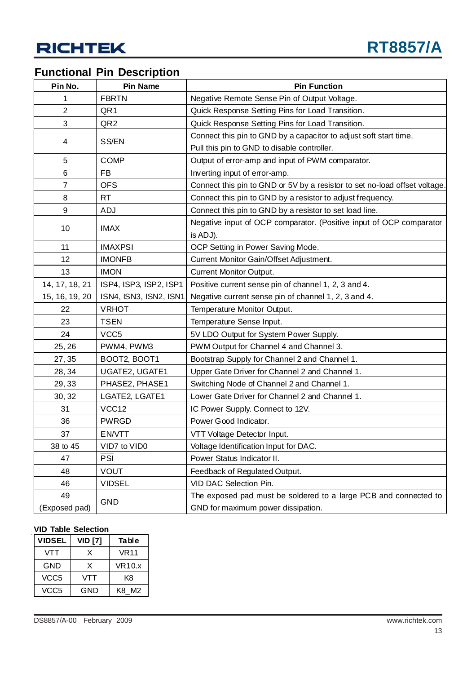### **Functional Pin Description**

| Pin No.        | <b>Pin Name</b>        | <b>Pin Function</b>                                                        |
|----------------|------------------------|----------------------------------------------------------------------------|
| 1              | <b>FBRTN</b>           | Negative Remote Sense Pin of Output Voltage.                               |
| $\overline{2}$ | QR1                    | Quick Response Setting Pins for Load Transition.                           |
| 3              | QR <sub>2</sub>        | Quick Response Setting Pins for Load Transition.                           |
|                |                        | Connect this pin to GND by a capacitor to adjust soft start time.          |
| 4              | SS/EN                  | Pull this pin to GND to disable controller.                                |
| 5              | <b>COMP</b>            | Output of error-amp and input of PWM comparator.                           |
| 6              | FB                     | Inverting input of error-amp.                                              |
| 7              | <b>OFS</b>             | Connect this pin to GND or 5V by a resistor to set no-load offset voltage. |
| 8              | <b>RT</b>              | Connect this pin to GND by a resistor to adjust frequency.                 |
| 9              | <b>ADJ</b>             | Connect this pin to GND by a resistor to set load line.                    |
|                |                        | Negative input of OCP comparator. (Positive input of OCP comparator        |
| 10             | <b>IMAX</b>            | is ADJ).                                                                   |
| 11             | <b>IMAXPSI</b>         | OCP Setting in Power Saving Mode.                                          |
| 12             | <b>IMONFB</b>          | Current Monitor Gain/Offset Adjustment.                                    |
| 13             | <b>IMON</b>            | <b>Current Monitor Output.</b>                                             |
| 14, 17, 18, 21 | ISP4, ISP3, ISP2, ISP1 | Positive current sense pin of channel 1, 2, 3 and 4.                       |
| 15, 16, 19, 20 | ISN4, ISN3, ISN2, ISN1 | Negative current sense pin of channel 1, 2, 3 and 4.                       |
| 22             | <b>VRHOT</b>           | Temperature Monitor Output.                                                |
| 23             | <b>TSEN</b>            | Temperature Sense Input.                                                   |
| 24             | VCC <sub>5</sub>       | 5V LDO Output for System Power Supply.                                     |
| 25, 26         | PWM4, PWM3             | PWM Output for Channel 4 and Channel 3.                                    |
| 27, 35         | BOOT2, BOOT1           | Bootstrap Supply for Channel 2 and Channel 1.                              |
| 28, 34         | UGATE2, UGATE1         | Upper Gate Driver for Channel 2 and Channel 1.                             |
| 29, 33         | PHASE2, PHASE1         | Switching Node of Channel 2 and Channel 1.                                 |
| 30, 32         | LGATE2, LGATE1         | Lower Gate Driver for Channel 2 and Channel 1.                             |
| 31             | VCC12                  | IC Power Supply. Connect to 12V.                                           |
| 36             | <b>PWRGD</b>           | Power Good Indicator.                                                      |
| 37             | EN/VTT                 | VTT Voltage Detector Input.                                                |
| 38 to 45       | VID7 to VID0           | Voltage Identification Input for DAC.                                      |
| 47             | PSI                    | Power Status Indicator II.                                                 |
| 48             | <b>VOUT</b>            | Feedback of Regulated Output.                                              |
| 46             | <b>VIDSEL</b>          | VID DAC Selection Pin.                                                     |
| 49             |                        | The exposed pad must be soldered to a large PCB and connected to           |
| (Exposed pad)  | <b>GND</b>             | GND for maximum power dissipation.                                         |

#### **VID Table Selection**

| <b>VIDSEL</b>    | <b>VID [7]</b> | Table       |
|------------------|----------------|-------------|
| VTT              | x              | <b>VR11</b> |
| GND              | x              | VR10.x      |
| VCC <sub>5</sub> | VTT            | K8          |
| VCC5             | GND            | K8 M2       |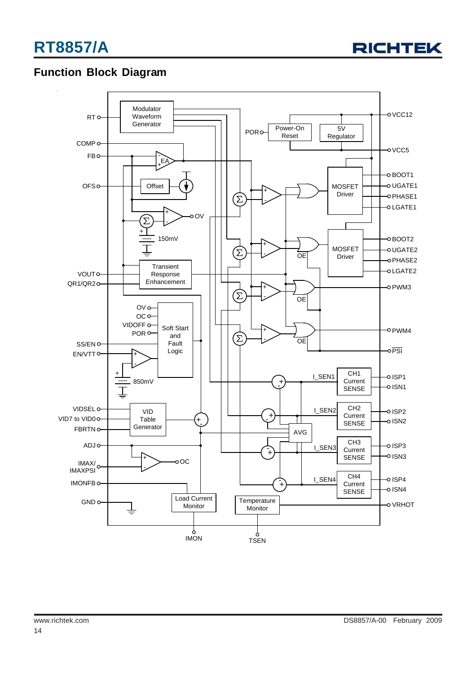

### **Function Block Diagram**

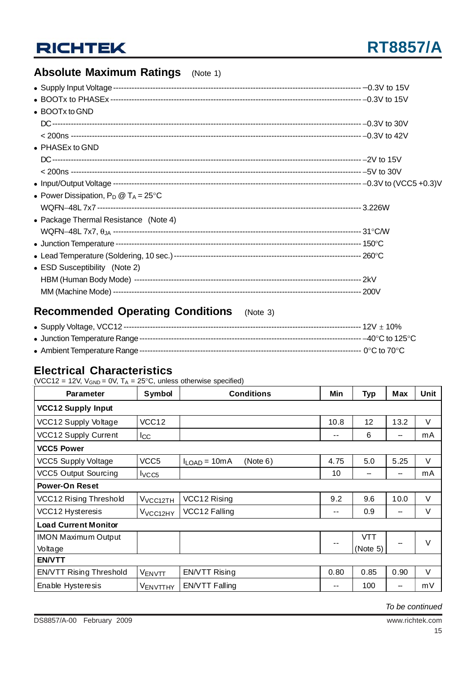### **Absolute Maximum Ratings** (Note 1)

| • BOOTx to GND                                 |  |
|------------------------------------------------|--|
|                                                |  |
|                                                |  |
| $\bullet$ PHASEx to GND                        |  |
|                                                |  |
|                                                |  |
|                                                |  |
| • Power Dissipation, $P_D @ T_A = 25^{\circ}C$ |  |
|                                                |  |
| • Package Thermal Resistance (Note 4)          |  |
|                                                |  |
|                                                |  |
|                                                |  |
| • ESD Susceptibility (Note 2)                  |  |
|                                                |  |
|                                                |  |

### **Recommended Operating Conditions** (Note 3)

### **Electrical Characteristics**

(VCC12 = 12V,  $V_{GND} = 0V$ ,  $T_A = 25^{\circ}C$ , unless otherwise specified)

| <b>Parameter</b>               | <b>Symbol</b>        | <b>Conditions</b>             | Min  | <b>Typ</b> | <b>Max</b> | Unit   |
|--------------------------------|----------------------|-------------------------------|------|------------|------------|--------|
| <b>VCC12 Supply Input</b>      |                      |                               |      |            |            |        |
| VCC12 Supply Voltage           | VCC <sub>12</sub>    |                               | 10.8 | 12         | 13.2       | $\vee$ |
| VCC12 Supply Current           | Icc                  |                               | --   | 6          |            | mA     |
| <b>VCC5 Power</b>              |                      |                               |      |            |            |        |
| <b>VCC5 Supply Voltage</b>     | VCC <sub>5</sub>     | (Note 6)<br>$I_{LOAD} = 10mA$ | 4.75 | 5.0        | 5.25       | V      |
| <b>VCC5 Output Sourcing</b>    | VCC5                 |                               | 10   | --         |            | mA     |
| <b>Power-On Reset</b>          |                      |                               |      |            |            |        |
| <b>VCC12 Rising Threshold</b>  | V <sub>VCC12TH</sub> | VCC12 Rising                  | 9.2  | 9.6        | 10.0       | $\vee$ |
| VCC12 Hysteresis               | V <sub>VCC12HY</sub> | VCC12 Falling                 | --   | 0.9        |            | V      |
| <b>Load Current Monitor</b>    |                      |                               |      |            |            |        |
| <b>IMON Maximum Output</b>     |                      |                               | --   | <b>VTT</b> |            | $\vee$ |
| Voltage                        |                      |                               |      | (Note 5)   |            |        |
| <b>EN/VTT</b>                  |                      |                               |      |            |            |        |
| <b>EN/VTT Rising Threshold</b> | VENVTT               | <b>EN/VTT Rising</b>          | 0.80 | 0.85       | 0.90       | V      |
| Enable Hysteresis              | VENVTTHY             | <b>EN/VTT Falling</b>         | --   | 100        |            | mV     |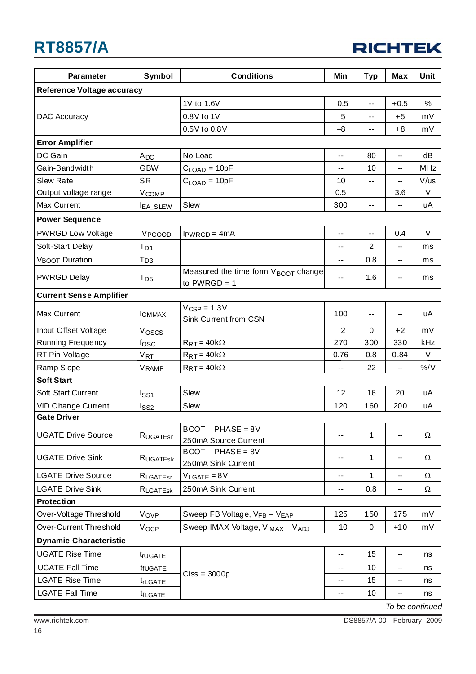

| <b>Reference Voltage accuracy</b><br>1V to 1.6V<br>$-0.5$<br>$+0.5$<br>%<br>$\overline{a}$<br>0.8V to 1V<br><b>DAC Accuracy</b><br>mV<br>$-5$<br>$+5$<br>$\sim$ $-$<br>0.5V to 0.8V<br>$+8$<br>mV<br>$-8$<br>--<br><b>Error Amplifier</b><br>DC Gain<br>No Load<br>80<br>dB<br>$A_{DC}$<br>--<br>--<br><b>GBW</b><br><b>MHz</b><br>Gain-Bandwidth<br>$CLOAD = 10pF$<br>10<br>--<br>$-$<br><b>SR</b><br>V/us<br><b>Slew Rate</b><br>$C_{\text{LOAD}} = 10pF$<br>10<br>$-1$<br>--<br>3.6<br>V<br>Output voltage range<br>V <sub>COMP</sub><br>0.5<br>Slew<br>Max Current<br>300<br>uA<br><b>IEA_SLEW</b><br>--<br><b>Power Sequence</b><br><b>PWRGD Low Voltage</b><br>0.4<br>$\vee$<br>VPGOOD<br>$IPWRGD = 4mA$<br>$-$<br>$-$<br>Soft-Start Delay<br>2<br>$T_{D1}$<br>--<br>ms<br>-- |
|-------------------------------------------------------------------------------------------------------------------------------------------------------------------------------------------------------------------------------------------------------------------------------------------------------------------------------------------------------------------------------------------------------------------------------------------------------------------------------------------------------------------------------------------------------------------------------------------------------------------------------------------------------------------------------------------------------------------------------------------------------------------------------------|
|                                                                                                                                                                                                                                                                                                                                                                                                                                                                                                                                                                                                                                                                                                                                                                                     |
|                                                                                                                                                                                                                                                                                                                                                                                                                                                                                                                                                                                                                                                                                                                                                                                     |
|                                                                                                                                                                                                                                                                                                                                                                                                                                                                                                                                                                                                                                                                                                                                                                                     |
|                                                                                                                                                                                                                                                                                                                                                                                                                                                                                                                                                                                                                                                                                                                                                                                     |
|                                                                                                                                                                                                                                                                                                                                                                                                                                                                                                                                                                                                                                                                                                                                                                                     |
|                                                                                                                                                                                                                                                                                                                                                                                                                                                                                                                                                                                                                                                                                                                                                                                     |
|                                                                                                                                                                                                                                                                                                                                                                                                                                                                                                                                                                                                                                                                                                                                                                                     |
|                                                                                                                                                                                                                                                                                                                                                                                                                                                                                                                                                                                                                                                                                                                                                                                     |
|                                                                                                                                                                                                                                                                                                                                                                                                                                                                                                                                                                                                                                                                                                                                                                                     |
|                                                                                                                                                                                                                                                                                                                                                                                                                                                                                                                                                                                                                                                                                                                                                                                     |
|                                                                                                                                                                                                                                                                                                                                                                                                                                                                                                                                                                                                                                                                                                                                                                                     |
|                                                                                                                                                                                                                                                                                                                                                                                                                                                                                                                                                                                                                                                                                                                                                                                     |
|                                                                                                                                                                                                                                                                                                                                                                                                                                                                                                                                                                                                                                                                                                                                                                                     |
| <b>VBOOT Duration</b><br>Tрз<br>0.8<br>-<br>ms<br>--                                                                                                                                                                                                                                                                                                                                                                                                                                                                                                                                                                                                                                                                                                                                |
| Measured the time form VBOOT change<br><b>PWRGD Delay</b><br>1.6<br>$T_{D5}$<br>ms<br>$-$<br>--<br>to $PWRGD = 1$                                                                                                                                                                                                                                                                                                                                                                                                                                                                                                                                                                                                                                                                   |
| <b>Current Sense Amplifier</b>                                                                                                                                                                                                                                                                                                                                                                                                                                                                                                                                                                                                                                                                                                                                                      |
| $V_{CSP} = 1.3V$<br>100<br>Max Current<br>uA<br><b>IGMMAX</b><br>$- -$<br>--<br>Sink Current from CSN                                                                                                                                                                                                                                                                                                                                                                                                                                                                                                                                                                                                                                                                               |
| Input Offset Voltage<br>mV<br>Voscs<br>$-2$<br>0<br>$+2$                                                                                                                                                                                                                                                                                                                                                                                                                                                                                                                                                                                                                                                                                                                            |
| Running Frequency<br>300<br>330<br>kHz<br>$f$ OSC<br>$R_{RT} = 40k\Omega$<br>270                                                                                                                                                                                                                                                                                                                                                                                                                                                                                                                                                                                                                                                                                                    |
| RT Pin Voltage<br>$V_{RT}$<br>$R_{RT} = 40k\Omega$<br>0.84<br>V<br>0.76<br>0.8                                                                                                                                                                                                                                                                                                                                                                                                                                                                                                                                                                                                                                                                                                      |
| $RRT = 40k\Omega$<br>%/V<br>Ramp Slope<br>22<br>Vramp<br>--<br>--                                                                                                                                                                                                                                                                                                                                                                                                                                                                                                                                                                                                                                                                                                                   |
| <b>Soft Start</b>                                                                                                                                                                                                                                                                                                                                                                                                                                                                                                                                                                                                                                                                                                                                                                   |
| Slew<br>Soft Start Current<br>16<br>12<br>20<br>uA<br>lss1                                                                                                                                                                                                                                                                                                                                                                                                                                                                                                                                                                                                                                                                                                                          |
| Slew<br>200<br>VID Change Current<br>120<br>160<br>uA<br>lss2                                                                                                                                                                                                                                                                                                                                                                                                                                                                                                                                                                                                                                                                                                                       |
| <b>Gate Driver</b>                                                                                                                                                                                                                                                                                                                                                                                                                                                                                                                                                                                                                                                                                                                                                                  |
| $BOOT - PHASE = 8V$<br><b>UGATE Drive Source</b><br>$\mathbf{1}$<br>Ω<br>RUGATEST<br>$- -$                                                                                                                                                                                                                                                                                                                                                                                                                                                                                                                                                                                                                                                                                          |
| 250mA Source Current                                                                                                                                                                                                                                                                                                                                                                                                                                                                                                                                                                                                                                                                                                                                                                |
| $BOOT - PHASE = 8V$<br><b>UGATE Drive Sink</b><br>$\mathbf 1$<br>Ω<br>RUGATESK<br>--<br>--<br>250mA Sink Current                                                                                                                                                                                                                                                                                                                                                                                                                                                                                                                                                                                                                                                                    |
| <b>LGATE Drive Source</b><br>$V_{LGATE} = 8V$<br>1<br>Ω<br>R <sub>LGATEsr</sub><br>--<br>$\overline{\phantom{a}}$                                                                                                                                                                                                                                                                                                                                                                                                                                                                                                                                                                                                                                                                   |
| 250mA Sink Current<br><b>LGATE Drive Sink</b><br>0.8<br>Ω<br>RLGATESK<br>--<br>--                                                                                                                                                                                                                                                                                                                                                                                                                                                                                                                                                                                                                                                                                                   |
| Protection                                                                                                                                                                                                                                                                                                                                                                                                                                                                                                                                                                                                                                                                                                                                                                          |
| Over-Voltage Threshold<br>Vovp<br>Sweep FB Voltage, VFB - VEAP<br>125<br>150<br>175<br>mV                                                                                                                                                                                                                                                                                                                                                                                                                                                                                                                                                                                                                                                                                           |
| Over-Current Threshold<br>Sweep IMAX Voltage, V <sub>IMAX</sub> - V <sub>ADJ</sub><br>$-10$<br>0<br>$+10$<br>mV<br>VOCP                                                                                                                                                                                                                                                                                                                                                                                                                                                                                                                                                                                                                                                             |
| <b>Dynamic Characteristic</b>                                                                                                                                                                                                                                                                                                                                                                                                                                                                                                                                                                                                                                                                                                                                                       |
| <b>UGATE Rise Time</b><br>15<br>--<br>--<br>trUGATE<br>ns                                                                                                                                                                                                                                                                                                                                                                                                                                                                                                                                                                                                                                                                                                                           |
| <b>UGATE Fall Time</b><br>10<br>tfUGATE<br>--<br>ns<br>--                                                                                                                                                                                                                                                                                                                                                                                                                                                                                                                                                                                                                                                                                                                           |
| $Ciss = 3000p$<br><b>LGATE Rise Time</b><br>15<br>ns<br><sup>t</sup> rLGATE<br>--<br>$\overline{\phantom{m}}$                                                                                                                                                                                                                                                                                                                                                                                                                                                                                                                                                                                                                                                                       |
| <b>LGATE Fall Time</b><br>10<br>t <sub>fLGATE</sub><br>ns<br>--<br>--                                                                                                                                                                                                                                                                                                                                                                                                                                                                                                                                                                                                                                                                                                               |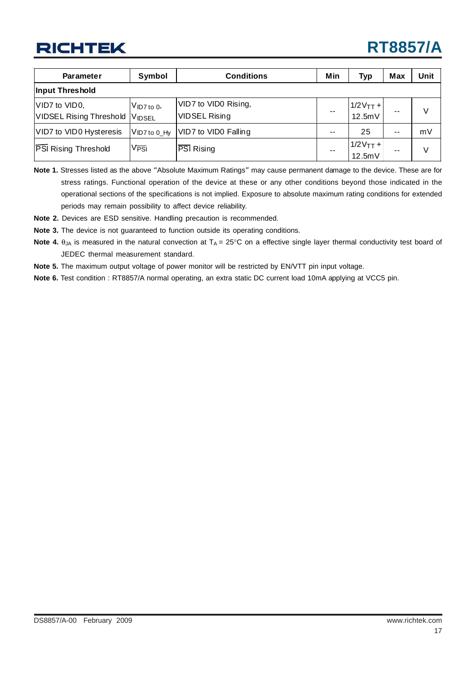# **RT8857/A**

| <b>Parameter</b>                                | Symbol                  | <b>Conditions</b>                            | Min   | <b>Typ</b>                                    | Max   | Unit   |
|-------------------------------------------------|-------------------------|----------------------------------------------|-------|-----------------------------------------------|-------|--------|
| Input Threshold                                 |                         |                                              |       |                                               |       |        |
| VID7 to VID0,<br><b>VIDSEL Rising Threshold</b> | $V$ ID7 to 0,<br>VIDSEL | VID7 to VID0 Rising,<br><b>VIDSEL Rising</b> |       | $\left  \frac{1}{2}V_{TT}+ \right $<br>12.5mV | --    | $\vee$ |
| VID7 to VID0 Hysteresis                         | $V$ ID7 to 0_Hy         | VID7 to VID0 Falling                         | $- -$ | 25                                            | $- -$ | mV     |
| <b>PSI Rising Threshold</b>                     | V <del>ps</del> i       | <b>PSI</b> Rising                            | $- -$ | $1/2V_{TT} +$<br>12.5mV                       | $- -$ | V      |

**Note 1.** Stresses listed as the above "Absolute Maximum Ratings" may cause permanent damage to the device. These are for stress ratings. Functional operation of the device at these or any other conditions beyond those indicated in the operational sections of the specifications is not implied. Exposure to absolute maximum rating conditions for extended periods may remain possibility to affect device reliability.

**Note 2.** Devices are ESD sensitive. Handling precaution is recommended.

**Note 3.** The device is not guaranteed to function outside its operating conditions.

**Note 4.**  $\theta_{JA}$  is measured in the natural convection at  $T_A = 25^\circ \text{C}$  on a effective single layer thermal conductivity test board of JEDEC thermal measurement standard.

**Note 5.** The maximum output voltage of power monitor will be restricted by EN/VTT pin input voltage.

**Note 6.** Test condition : RT8857/A normal operating, an extra static DC current load 10mA applying at VCC5 pin.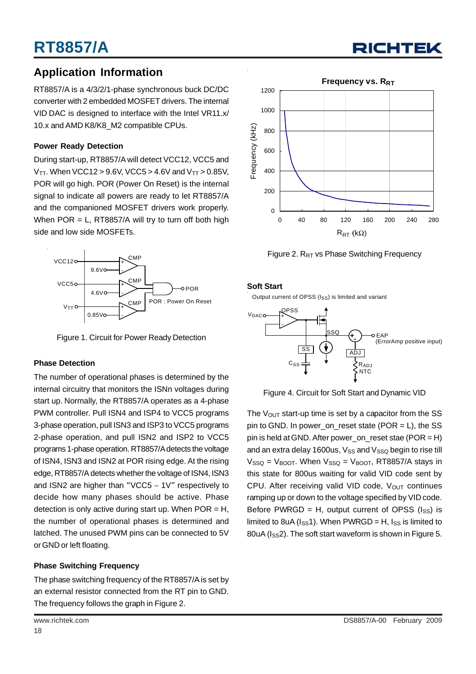### **Application Information**

RT8857/A is a 4/3/2/1-phase synchronous buck DC/DC converter with 2 embedded MOSFET drivers. The internal VID DAC is designed to interface with the Intel VR11.x/ 10.x and AMD K8/K8\_M2 compatible CPUs.

#### **Power Ready Detection**

During start-up, RT8857/A will detect VCC12, VCC5 and  $V_{TT}$ . When VCC12 > 9.6V, VCC5 > 4.6V and  $V_{TT}$  > 0.85V, POR will go high. POR (Power On Reset) is the internal signal to indicate all powers are ready to let RT8857/A and the companioned MOSFET drivers work properly. When  $POR = L$ , RT8857/A will try to turn off both high side and low side MOSFETs.



Figure 1. Circuit for Power Ready Detection

#### **Phase Detection**

The number of operational phases is determined by the internal circuitry that monitors the ISNn voltages during start up. Normally, the RT8857/A operates as a 4-phase PWM controller. Pull ISN4 and ISP4 to VCC5 programs 3-phase operation, pull ISN3 and ISP3 to VCC5 programs 2-phase operation, and pull ISN2 and ISP2 to VCC5 programs 1-phase operation. RT8857/A detects the voltage of ISN4, ISN3 and ISN2 at POR rising edge. At the rising edge, RT8857/A detects whether the voltage of ISN4, ISN3 and ISN2 are higher than "VCC5 – 1V" respectively to decide how many phases should be active. Phase detection is only active during start up. When  $POR = H$ , the number of operational phases is determined and latched. The unused PWM pins can be connected to 5V or GND or left floating.

#### **Phase Switching Frequency**

The phase switching frequency of the RT8857/A is set by an external resistor connected from the RT pin to GND. The frequency follows the graph in Figure 2.



Figure 2.  $R_{RT}$  vs Phase Switching Frequency

#### **Soft Start**

Output current of OPSS (ISS) is limited and variant



Figure 4. Circuit for Soft Start and Dynamic VID

The  $V_{OUT}$  start-up time is set by a capacitor from the SS pin to GND. In power on reset state (POR = L), the SS pin is held at GND. After power\_on\_reset stae (POR = H) and an extra delay 1600us,  $V_{SS}$  and  $V_{SSQ}$  begin to rise till  $V<sub>SSO</sub> = V<sub>BOOT</sub>$ . When  $V<sub>SSO</sub> = V<sub>BOOT</sub>$ , RT8857/A stays in this state for 800us waiting for valid VID code sent by CPU. After receiving valid VID code,  $V_{OUT}$  continues ramping up or down to the voltage specified by VID code. Before PWRGD = H, output current of OPSS  $(I_{SS})$  is limited to 8uA ( $I_{SS}$ 1). When PWRGD = H,  $I_{SS}$  is limited to 80uA (I<sub>SS</sub>2). The soft start waveform is shown in Figure 5.

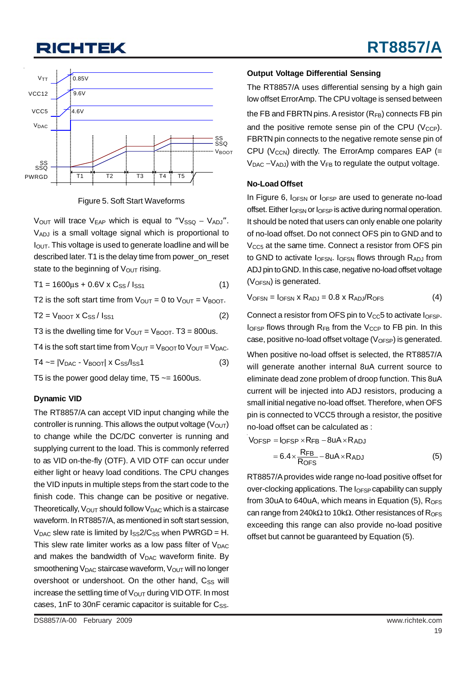

Figure 5. Soft Start Waveforms

V<sub>OUT</sub> will trace V<sub>EAP</sub> which is equal to "V<sub>SSQ</sub> – V<sub>ADJ</sub>". VADJ is a small voltage signal which is proportional to  $I<sub>OUT</sub>$ . This voltage is used to generate loadline and will be described later. T1 is the delay time from power\_on\_reset state to the beginning of  $V_{\text{OUT}}$  rising.

 $T1 = 1600 \mu s + 0.6 V \times C_{SS} / I_{SS1}$  (1)

T2 is the soft start time from  $V_{\text{OUT}} = 0$  to  $V_{\text{OUT}} = V_{\text{BOOT}}$ .

 $T2 = V_{\text{BOOT}} \times C_{\text{SS}} / I_{\text{SS1}}$  (2)

T3 is the dwelling time for  $V_{\text{OUT}} = V_{\text{BOOT}}$ . T3 = 800us.

T4 is the soft start time from  $V_{\text{OUT}} = V_{\text{BOOT}}$  to  $V_{\text{OUT}} = V_{\text{DAC}}$ .

 $T4 \sim = |V_{DAC} - V_{"}|\times C_{SS}/I_{SS}1$  (3)

T5 is the power good delay time,  $T5 \sim 1600$ us.

#### **Dynamic VID**

The RT8857/A can accept VID input changing while the controller is running. This allows the output voltage  $(V<sub>OUT</sub>)$ to change while the DC/DC converter is running and supplying current to the load. This is commonly referred to as VID on-the-fly (OTF). A VID OTF can occur under either light or heavy load conditions. The CPU changes the VID inputs in multiple steps from the start code to the finish code. This change can be positive or negative. Theoretically,  $V_{OUT}$  should follow  $V_{DAC}$  which is a staircase waveform. In RT8857/A, as mentioned in soft start session,  $V_{DAC}$  slew rate is limited by  $I_{SS}$  2/C<sub>SS</sub> when PWRGD = H. This slew rate limiter works as a low pass filter of  $V_{\text{DAC}}$ and makes the bandwidth of  $V_{\text{DAC}}$  waveform finite. By smoothening V<sub>DAC</sub> staircase waveform, V<sub>OUT</sub> will no longer overshoot or undershoot. On the other hand, C<sub>SS</sub> will increase the settling time of  $V_{\text{OUT}}$  during VID OTF. In most cases, 1nF to 30nF ceramic capacitor is suitable for  $C_{SS}$ . The RT8857/A uses differential sensing by a high gain low offset ErrorAmp. The CPU voltage is sensed between the FB and FBRTN pins. A resistor  $(R_{FB})$  connects FB pin and the positive remote sense pin of the CPU ( $V_{\text{CCP}}$ ). FBRTN pin connects to the negative remote sense pin of CPU ( $V_{\text{CCN}}$ ) directly. The ErrorAmp compares EAP (=  $V_{\text{DAC}} - V_{\text{ADJ}}$ ) with the  $V_{\text{FB}}$  to regulate the output voltage.

#### **No-Load Offset**

In Figure 6,  $I_{OFSN}$  or  $I_{OFSP}$  are used to generate no-load offset. Either  $I<sub>OFSN</sub>$  or  $I<sub>OFSP</sub>$  is active during normal operation. It should be noted that users can only enable one polarity of no-load offset. Do not connect OFS pin to GND and to  $V<sub>CC5</sub>$  at the same time. Connect a resistor from OFS pin to GND to activate I<sub>OFSN</sub>. I<sub>OFSN</sub> flows through RADJ from ADJ pin to GND. In this case, negative no-load offset voltage  $(V<sub>OFSN</sub>)$  is generated.

$$
V_{OFSN} = I_{OFSN} \times R_{ADJ} = 0.8 \times R_{ADJ}/R_{OFS}
$$
 (4)

Connect a resistor from OFS pin to  $V_{CC}$ 5 to activate  $I_{OFSP}$ .  $I<sub>OFSP</sub>$  flows through  $R<sub>FB</sub>$  from the  $V<sub>CCP</sub>$  to FB pin. In this case, positive no-load offset voltage  $(V_{\text{OFSP}})$  is generated.

When positive no-load offset is selected, the RT8857/A will generate another internal 8uA current source to eliminate dead zone problem of droop function. This 8uA current will be injected into ADJ resistors, producing a small initial negative no-load offset. Therefore, when OFS pin is connected to VCC5 through a resistor, the positive no-load offset can be calculated as :

VOFSP = IOFSP 
$$
\times
$$
RFB - 8uA  $\times$  RADJ  
= 6.4  $\times$   $\frac{RFB}{ROFS}$  - 8uA  $\times$  RADJ

RT8857/A provides wide range no-load positive offset for over-clocking applications. The I<sub>OFSP</sub> capability can supply from 30uA to 640uA, which means in Equation  $(5)$ , R<sub>OFS</sub> can range from 240kΩ to 10kΩ. Other resistances of R<sub>OFS</sub> exceeding this range can also provide no-load positive offset but cannot be guaranteed by Equation (5).

(5)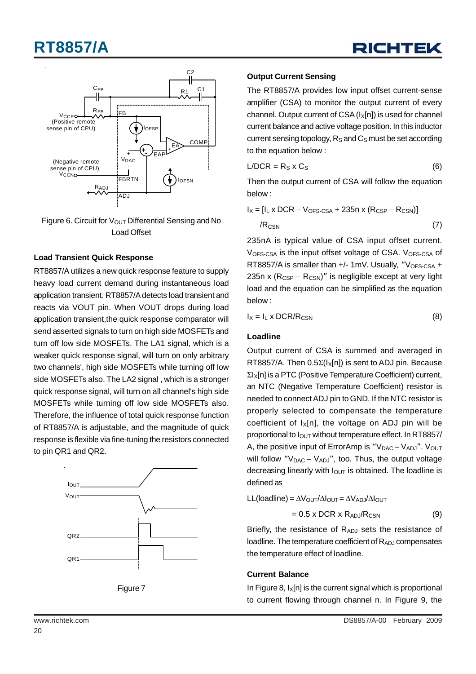





#### **Load Transient Quick Response**

RT8857/A utilizes a new quick response feature to supply heavy load current demand during instantaneous load application transient. RT8857/A detects load transient and reacts via VOUT pin. When VOUT drops during load application transient, the quick response comparator will send asserted signals to turn on high side MOSFETs and turn off low side MOSFETs. The LA1 signal, which is a weaker quick response signal, will turn on only arbitrary two channels', high side MOSFETs while turning off low side MOSFETs also. The LA2 signal , which is a stronger quick response signal, will turn on all channel's high side MOSFETs while turning off low side MOSFETs also. Therefore, the influence of total quick response function of RT8857/A is adjustable, and the magnitude of quick response is flexible via fine-tuning the resistors connected to pin QR1 and QR2.





#### **Output Current Sensing**

The RT8857/A provides low input offset current-sense amplifier (CSA) to monitor the output current of every channel. Output current of CSA  $(I_x[n])$  is used for channel current balance and active voltage position. In this inductor current sensing topology,  $R<sub>S</sub>$  and  $C<sub>S</sub>$  must be set according to the equation below :

$$
L/DCR = R_S \times C_S \tag{6}
$$

Then the output current of CSA will follow the equation below :

$$
I_X = [I_L \times DCR - V_{OFS\text{-CSA}} + 235n \times (R_{CSP} - R_{CSN})]
$$
  

$$
I_{RCSN} \tag{7}
$$

235nA is typical value of CSA input offset current. V<sub>OFS-CSA</sub> is the input offset voltage of CSA. V<sub>OFS-CSA</sub> of RT8857/A is smaller than  $+/-$  1mV. Usually, "V<sub>OFS-CSA</sub> + 235n x ( $R_{CSP} - R_{CSN}$ )" is negligible except at very light load and the equation can be simplified as the equation below :

$$
I_X = I_L \times DCR/R_{CSN}
$$
 (8)

#### **Loadline**

Output current of CSA is summed and averaged in RT8857/A. Then  $0.5\Sigma(1_X[n])$  is sent to ADJ pin. Because ΣIX[n] is a PTC (Positive Temperature Coefficient) current, an NTC (Negative Temperature Coefficient) resistor is needed to connect ADJ pin to GND. If the NTC resistor is properly selected to compensate the temperature coefficient of  $I_x[n]$ , the voltage on ADJ pin will be proportional to  $I<sub>OUT</sub>$  without temperature effect. In RT8857/ A, the positive input of ErrorAmp is "V<sub>DAC</sub> – V<sub>ADJ</sub>". V<sub>OUT</sub> will follow "V<sub>DAC</sub> − V<sub>ADJ</sub>", too. Thus, the output voltage decreasing linearly with  $I<sub>OUT</sub>$  is obtained. The loadline is defined as

$$
LL(loading) = \Delta V_{OUT}/\Delta I_{OUT} = \Delta V_{AD}/\Delta I_{OUT}
$$

$$
= 0.5 \times DCR \times R_{ADJ}/R_{CSN}
$$
 (9)

Briefly, the resistance of  $R_{ADJ}$  sets the resistance of loadline. The temperature coefficient of  $R_{ADJ}$  compensates the temperature effect of loadline.

#### **Current Balance**

In Figure 8,  $I_X[n]$  is the current signal which is proportional to current flowing through channel n. In Figure 9, the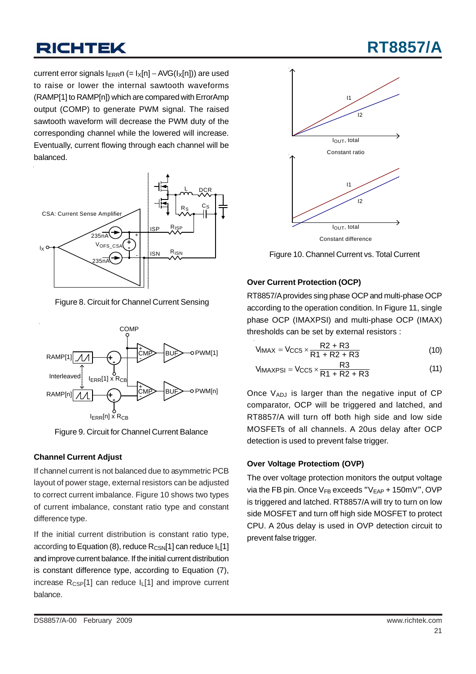# **RT8857/A**

current error signals I<sub>ERR</sub>n (= I<sub>X</sub>[n] – AVG(I<sub>X</sub>[n])) are used to raise or lower the internal sawtooth waveforms (RAMP[1] to RAMP[n]) which are compared with ErrorAmp output (COMP) to generate PWM signal. The raised sawtooth waveform will decrease the PWM duty of the corresponding channel while the lowered will increase. Eventually, current flowing through each channel will be balanced.



Figure 8. Circuit for Channel Current Sensing



Figure 9. Circuit for Channel Current Balance

#### **Channel Current Adjust**

If channel current is not balanced due to asymmetric PCB layout of power stage, external resistors can be adjusted to correct current imbalance. Figure 10 shows two types of current imbalance, constant ratio type and constant difference type.

If the initial current distribution is constant ratio type, according to Equation (8), reduce  $R_{\text{CSN}}[1]$  can reduce  $I_{L}[1]$ and improve current balance. If the initial current distribution is constant difference type, according to Equation (7), increase  $R_{CSP}[1]$  can reduce  $I_L[1]$  and improve current balance.



Figure 10. Channel Current vs. Total Current

#### **Over Current Protection (OCP)**

RT8857/A provides sing phase OCP and multi-phase OCP according to the operation condition. In Figure 11, single phase OCP (IMAXPSI) and multi-phase OCP (IMAX) thresholds can be set by external resistors :

$$
V_{IMAX} = V_{CC5} \times \frac{R2 + R3}{R1 + R2 + R3}
$$
 (10)

$$
V_{\text{IMAXPSI}} = V_{\text{CC5}} \times \frac{\text{R3}}{\text{R1} + \text{R2} + \text{R3}}
$$
 (11)

Once  $V_{ADJ}$  is larger than the negative input of CP comparator, OCP will be triggered and latched, and RT8857/A will turn off both high side and low side MOSFETs of all channels. A 20us delay after OCP detection is used to prevent false trigger.

#### **Over Voltage Protectiom (OVP)**

The over voltage protection monitors the output voltage via the FB pin. Once  $V_{FB}$  exceeds " $V_{EAP}$  + 150mV", OVP is triggered and latched. RT8857/A will try to turn on low side MOSFET and turn off high side MOSFET to protect CPU. A 20us delay is used in OVP detection circuit to prevent false trigger.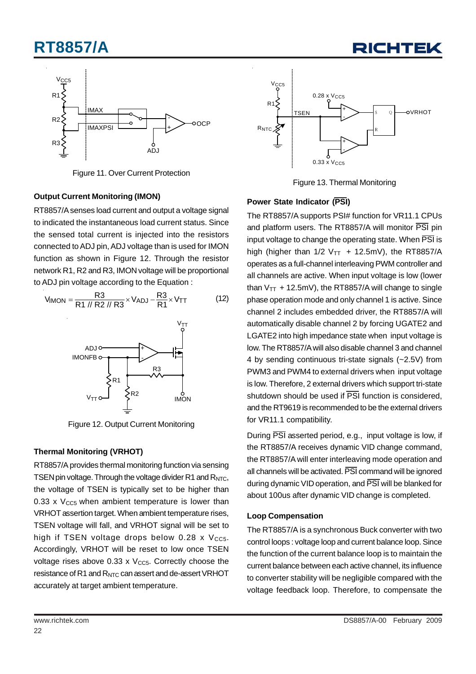RICHTEI



Figure 11. Over Current Protection

#### **Output Current Monitoring (IMON)**

RT8857/A senses load current and output a voltage signal to indicated the instantaneous load current status. Since the sensed total current is injected into the resistors connected to ADJ pin, ADJ voltage than is used for IMON function as shown in Figure 12. Through the resistor network R1, R2 and R3, IMON voltage will be proportional to ADJ pin voltage according to the Equation :



Figure 12. Output Current Monitoring

#### **Thermal Monitoring (VRHOT)**

RT8857/A provides thermal monitoring function via sensing TSEN pin voltage. Through the voltage divider R1 and R<sub>NTC</sub>, the voltage of TSEN is typically set to be higher than 0.33 x  $V_{CC5}$  when ambient temperature is lower than VRHOT assertion target. When ambient temperature rises, TSEN voltage will fall, and VRHOT signal will be set to high if TSEN voltage drops below  $0.28 \times V_{CC5}$ . Accordingly, VRHOT will be reset to low once TSEN voltage rises above 0.33 x  $V_{CC5}$ . Correctly choose the resistance of R1 and R<sub>NTC</sub> can assert and de-assert VRHOT accurately at target ambient temperature.



Figure 13. Thermal Monitoring

#### **Power State Indicator (PSI)**

The RT8857/A supports PSI# function for VR11.1 CPUs and platform users. The RT8857/A will monitor PSI pin input voltage to change the operating state. When  $\overline{PSI}$  is high (higher than  $1/2$  V<sub>TT</sub> + 12.5mV), the RT8857/A operates as a full-channel interleaving PWM controller and all channels are active. When input voltage is low (lower than  $V_{TT}$  + 12.5mV), the RT8857/A will change to single phase operation mode and only channel 1 is active. Since channel 2 includes embedded driver, the RT8857/A will automatically disable channel 2 by forcing UGATE2 and LGATE2 into high impedance state when input voltage is low. The RT8857/A will also disable channel 3 and channel 4 by sending continuous tri-state signals (~2.5V) from PWM3 and PWM4 to external drivers when input voltage is low. Therefore, 2 external drivers which support tri-state shutdown should be used if  $\overline{PS}$  function is considered. and the RT9619 is recommended to be the external drivers for VR11.1 compatibility.

During PSI asserted period, e.g., input voltage is low, if the RT8857/A receives dynamic VID change command, the RT8857/A will enter interleaving mode operation and all channels will be activated. PSI command will be ignored during dynamic VID operation, and PSI will be blanked for about 100us after dynamic VID change is completed.

#### **Loop Compensation**

The RT8857/A is a synchronous Buck converter with two control loops : voltage loop and current balance loop. Since the function of the current balance loop is to maintain the current balance between each active channel, its influence to converter stability will be negligible compared with the voltage feedback loop. Therefore, to compensate the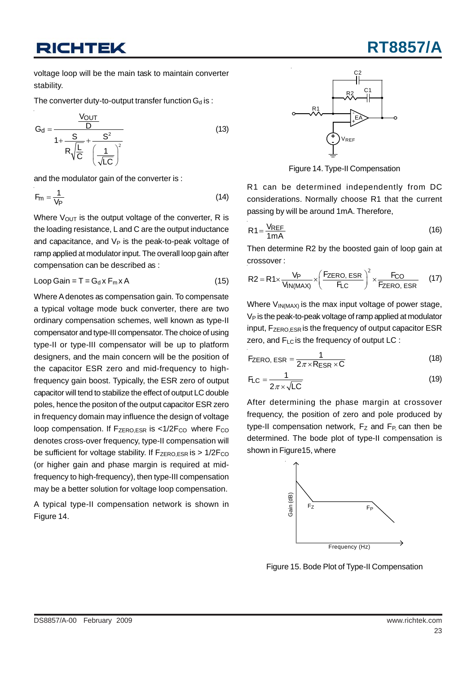# **RT8857/A**

voltage loop will be the main task to maintain converter stability.

The converter duty-to-output transfer function  $G_d$  is :

$$
G_d = \frac{\frac{V_{OUT}}{D}}{1 + \frac{S}{R\sqrt{\frac{L}{C}}} + \frac{S^2}{\left(\frac{1}{\sqrt{LC}}\right)^2}}
$$
(13)

and the modulator gain of the converter is :

$$
F_m = \frac{1}{V_P} \tag{14}
$$

Where  $V_{\text{OUT}}$  is the output voltage of the converter, R is the loading resistance, L and C are the output inductance and capacitance, and  $V_P$  is the peak-to-peak voltage of ramp applied at modulator input. The overall loop gain after compensation can be described as :

$$
Loop Gain = T = Gd x Fm x A
$$
 (15)

Where A denotes as compensation gain. To compensate a typical voltage mode buck converter, there are two ordinary compensation schemes, well known as type-II compensator and type-III compensator. The choice of using type-II or type-III compensator will be up to platform designers, and the main concern will be the position of the capacitor ESR zero and mid-frequency to highfrequency gain boost. Typically, the ESR zero of output capacitor will tend to stabilize the effect of output LC double poles, hence the positon of the output capacitor ESR zero in frequency domain may influence the design of voltage loop compensation. If  $F_{\text{ZERO,ESR}}$  is <1/2 $F_{\text{CO}}$  where  $F_{\text{CO}}$ denotes cross-over frequency, type-II compensation will be sufficient for voltage stability. If  $F_{\text{ZERO,ESR}}$  is  $> 1/2F_{\text{CO}}$ (or higher gain and phase margin is required at midfrequency to high-frequency), then type-III compensation may be a better solution for voltage loop compensation.

A typical type-II compensation network is shown in Figure 14.



Figure 14. Type-II Compensation

R1 can be determined independently from DC considerations. Normally choose R1 that the current passing by will be around 1mA. Therefore,

$$
R1 = \frac{V_{REF}}{1mA}
$$
 (16)

Then determine R2 by the boosted gain of loop gain at crossover :

$$
R2 = R1 \times \frac{V_P}{V_{IN(MAX)}} \times \left(\frac{F_{ZERO, ESR}}{F_{LC}}\right)^2 \times \frac{F_{CO}}{F_{ZERO, ESR}} \tag{17}
$$

Where  $V_{IN(MAX)}$  is the max input voltage of power stage,  $V_P$  is the peak-to-peak voltage of ramp applied at modulator input, F<sub>ZERO,ESR</sub> is the frequency of output capacitor ESR zero, and F<sub>LC</sub> is the frequency of output LC :

$$
F_{\text{ZERO, ESR}} = \frac{1}{2\pi \times R_{\text{ESR}} \times C}
$$
 (18)

$$
F_{LC} = \frac{1}{2\pi \times \sqrt{LC}}
$$
 (19)

After determining the phase margin at crossover frequency, the position of zero and pole produced by type-II compensation network,  $F_Z$  and  $F_P$  can then be determined. The bode plot of type-II compensation is shown in Figure15, where

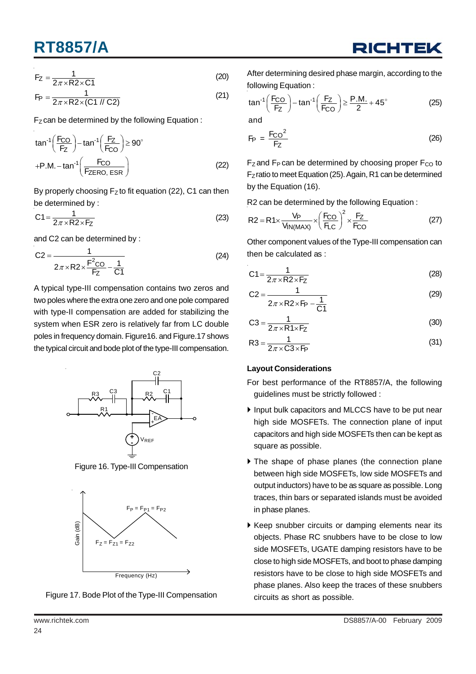$$
F_Z = \frac{1}{2\pi \times R2 \times C1}
$$
 (20)

$$
F_P = \frac{1}{2\pi \times R2 \times (C1 \text{ // } C2)}
$$
 (21)

 $F_Z$  can be determined by the following Equation :

$$
\tan^{-1}\left(\frac{F_{CO}}{F_Z}\right) - \tan^{-1}\left(\frac{F_Z}{F_{CO}}\right) \ge 90^\circ
$$
  
+P.M. -  $\tan^{-1}\left(\frac{F_{CO}}{F_{ZERO, ESR}}\right)$  (22)

By properly choosing  $F_Z$  to fit equation (22), C1 can then be determined by :

$$
C1 = \frac{1}{2\pi \times R2 \times F_Z}
$$
 (23)

and C2 can be determined by :

$$
C2 = \frac{1}{2\pi \times R2 \times \frac{F^2CO}{FZ} - \frac{1}{C1}}
$$
 (24)

A typical type-III compensation contains two zeros and two poles where the extra one zero and one pole compared with type-II compensation are added for stabilizing the system when ESR zero is relatively far from LC double poles in frequency domain. Figure16. and Figure.17 shows the typical circuit and bode plot of the type-III compensation.



Figure 16. Type-III Compensation





After determining desired phase margin, according to the following Equation :

$$
\tan^{-1}\left(\frac{F_{CO}}{F_Z}\right) - \tan^{-1}\left(\frac{F_Z}{F_{CO}}\right) \ge \frac{P.M.}{2} + 45^{\circ}
$$
 (25)

and

$$
F_P = \frac{F_{CO}^2}{F_Z} \tag{26}
$$

 $F_Z$  and  $F_P$  can be determined by choosing proper  $F_{CO}$  to F<sub>Z</sub>ratio to meet Equation (25). Again, R1 can be determined by the Equation (16).

R2 can be determined by the following Equation :

$$
R2 = R1 \times \frac{V_P}{V_{IN(MAX)}} \times \left(\frac{F_{CO}}{F_{LC}}\right)^2 \times \frac{F_Z}{F_{CO}}
$$
 (27)

Other component values of the Type-III compensation can then be calculated as :

$$
C1 = \frac{1}{2\pi \times R2 \times FZ}
$$
 (28)

$$
C2 = \frac{1}{2\pi \times R2 \times FP - \frac{1}{C1}}
$$
 (29)

$$
C3 = \frac{1}{2\pi \times R1 \times FZ}
$$
 (30)

$$
R3 = \frac{1}{2\pi \times C3 \times FP}
$$
 (31)

#### **Layout Considerations**

For best performance of the RT8857/A, the following guidelines must be strictly followed :

- Input bulk capacitors and MLCCS have to be put near high side MOSFETs. The connection plane of input capacitors and high side MOSFETs then can be kept as square as possible.
- The shape of phase planes (the connection plane between high side MOSFETs, low side MOSFETs and output inductors) have to be as square as possible. Long traces, thin bars or separated islands must be avoided in phase planes.
- Keep snubber circuits or damping elements near its objects. Phase RC snubbers have to be close to low side MOSFETs, UGATE damping resistors have to be close to high side MOSFETs, and boot to phase damping resistors have to be close to high side MOSFETs and phase planes. Also keep the traces of these snubbers circuits as short as possible.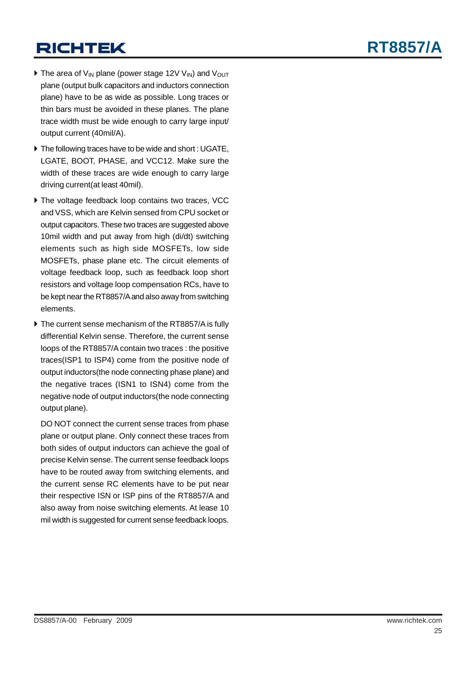- $\triangleright$  The area of V<sub>IN</sub> plane (power stage 12V V<sub>IN</sub>) and V<sub>OUT</sub> plane (output bulk capacitors and inductors connection plane) have to be as wide as possible. Long traces or thin bars must be avoided in these planes. The plane trace width must be wide enough to carry large input/ output current (40mil/A).
- $\blacktriangleright$  The following traces have to be wide and short : UGATE, LGATE, BOOT, PHASE, and VCC12. Make sure the width of these traces are wide enough to carry large driving current(at least 40mil).
- ▶ The voltage feedback loop contains two traces, VCC and VSS, which are Kelvin sensed from CPU socket or output capacitors. These two traces are suggested above 10mil width and put away from high (di/dt) switching elements such as high side MOSFETs, low side MOSFETs, phase plane etc. The circuit elements of voltage feedback loop, such as feedback loop short resistors and voltage loop compensation RCs, have to be kept near the RT8857/A and also away from switching elements.
- ▶ The current sense mechanism of the RT8857/A is fully differential Kelvin sense. Therefore, the current sense loops of the RT8857/A contain two traces : the positive traces(ISP1 to ISP4) come from the positive node of output inductors(the node connecting phase plane) and the negative traces (ISN1 to ISN4) come from the negative node of output inductors(the node connecting output plane).

DO NOT connect the current sense traces from phase plane or output plane. Only connect these traces from both sides of output inductors can achieve the goal of precise Kelvin sense. The current sense feedback loops have to be routed away from switching elements, and the current sense RC elements have to be put near their respective ISN or ISP pins of the RT8857/A and also away from noise switching elements. At lease 10 mil width is suggested for current sense feedback loops.